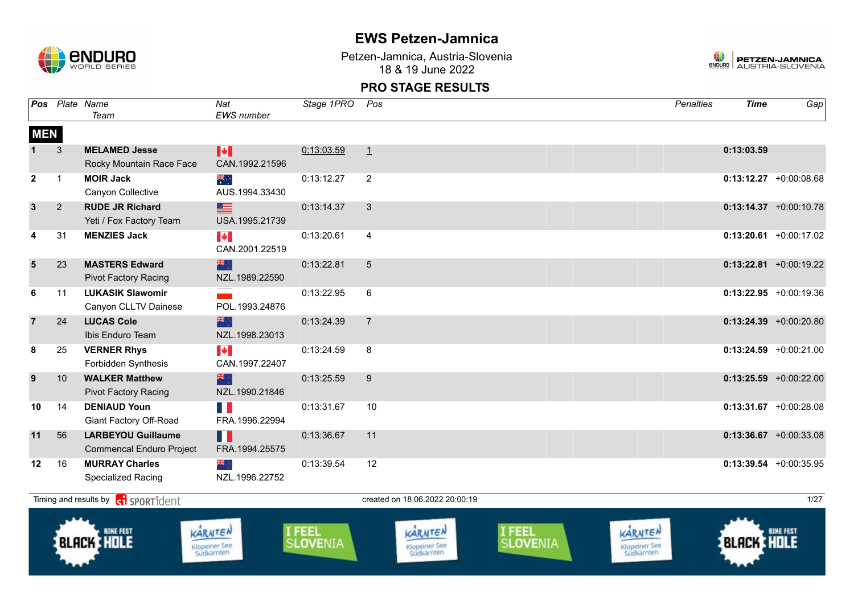

Petzen-Jamnica, Austria-Slovenia 18 & 19 June 2022



|                | Pos Plate Name | Team                                                         | Nat<br>EWS number                             | Stage 1PRO                     | Pos            |                                               |                           | <b>Penalties</b>                              | <b>Time</b>       | $Ga$ p                    |
|----------------|----------------|--------------------------------------------------------------|-----------------------------------------------|--------------------------------|----------------|-----------------------------------------------|---------------------------|-----------------------------------------------|-------------------|---------------------------|
| <b>MEN</b>     |                |                                                              |                                               |                                |                |                                               |                           |                                               |                   |                           |
|                | 3              | <b>MELAMED Jesse</b><br>Rocky Mountain Race Face             | H<br>CAN.1992.21596                           | 0:13:03.59                     | 1              |                                               |                           |                                               | 0:13:03.59        |                           |
| $\mathbf{2}$   | $\mathbf{1}$   | <b>MOIR Jack</b><br>Canyon Collective                        | ▓<br>AUS.1994.33430                           | 0:13:12.27                     | $\overline{2}$ |                                               |                           |                                               |                   | $0:13:12.27$ +0:00:08.68  |
| $\mathbf{3}$   | $\overline{2}$ | <b>RUDE JR Richard</b><br>Yeti / Fox Factory Team            | ▇<br>USA.1995.21739                           | 0:13:14.37                     | 3              |                                               |                           |                                               |                   | $0:13:14.37 + 0:00:10.78$ |
| 4              | 31             | <b>MENZIES Jack</b>                                          | $\blacktriangleright$<br>CAN.2001.22519       | 0:13:20.61                     | $\overline{4}$ |                                               |                           |                                               |                   | $0:13:20.61$ +0:00:17.02  |
| 5              | 23             | <b>MASTERS Edward</b><br><b>Pivot Factory Racing</b>         | 米辛<br>NZL.1989.22590                          | 0:13:22.81                     | 5              |                                               |                           |                                               |                   | $0:13:22.81$ +0:00:19.22  |
| 6              | 11             | <b>LUKASIK Slawomir</b><br>Canyon CLLTV Dainese              | POL.1993.24876                                | 0:13:22.95                     | 6              |                                               |                           |                                               |                   | $0:13:22.95$ +0:00:19.36  |
| $\overline{7}$ | 24             | <b>LUCAS Cole</b><br>Ibis Enduro Team                        | 深心<br>NZL.1998.23013                          | 0:13:24.39                     | $\overline{7}$ |                                               |                           |                                               |                   | $0:13:24.39$ +0:00:20.80  |
| 8              | 25             | <b>VERNER Rhys</b><br>Forbidden Synthesis                    | $\blacktriangleright$<br>CAN.1997.22407       | 0:13:24.59                     | 8              |                                               |                           |                                               |                   | $0:13:24.59$ +0:00:21.00  |
| 9              | 10             | <b>WALKER Matthew</b><br>Pivot Factory Racing                | 米尔<br>NZL.1990.21846                          | 0:13:25.59                     | $9\,$          |                                               |                           |                                               |                   | $0:13:25.59$ +0:00:22.00  |
| 10             | 14             | <b>DENIAUD Youn</b><br>Giant Factory Off-Road                | H.<br>FRA.1996.22994                          | 0:13:31.67                     | 10             |                                               |                           |                                               |                   | $0:13:31.67$ +0:00:28.08  |
| 11             | 56             | <b>LARBEYOU Guillaume</b><br><b>Commencal Enduro Project</b> | Ш<br>FRA.1994.25575                           | 0:13:36.67                     | 11             |                                               |                           |                                               |                   | $0:13:36.67$ +0:00:33.08  |
| 12             | 16             | <b>MURRAY Charles</b><br>Specialized Racing                  | $\frac{1}{2}$<br>NZL.1996.22752               | 0:13:39.54                     | 12             |                                               |                           |                                               |                   | $0:13:39.54$ +0:00:35.95  |
|                |                | Timing and results by <b>G</b> SPORT1dent                    |                                               |                                |                | created on 18.06.2022 20:00:19                |                           |                                               |                   | 1/27                      |
|                |                | <b>BLACK HOLE</b>                                            | KARNTEN<br><b>Klopeiner See</b><br>Südkärnten | <b>FEEL</b><br><b>SLOVENIA</b> |                | KARNTEN<br><b>Klopeiner See</b><br>Südkärnten | I FEEL<br><b>SLOVENIA</b> | KARNTEN<br><b>Klopeiner See</b><br>Südkärnten | <b>BLACK HOLE</b> | <b>BIKE FEST</b>          |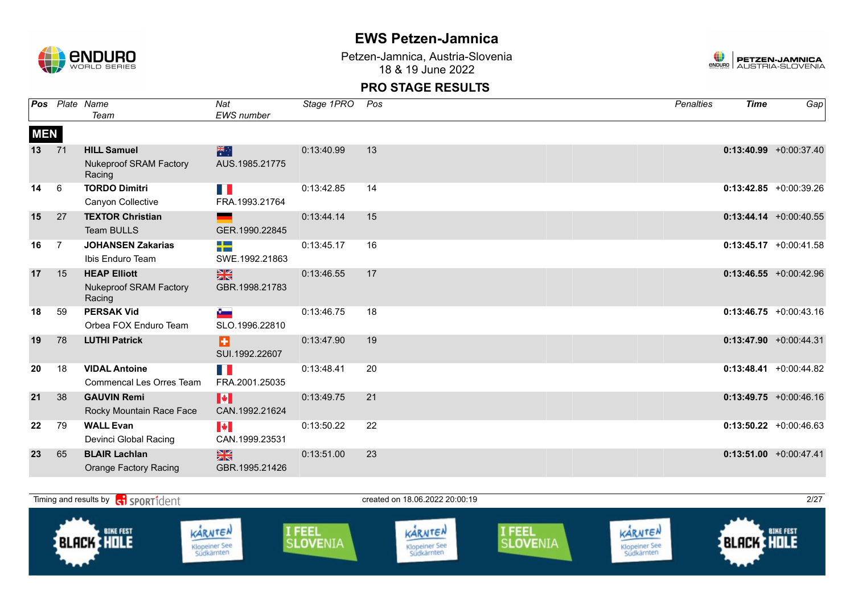

Petzen-Jamnica, Austria-Slovenia 18 & 19 June 2022



| Pos        |                | Plate Name                              | Nat                       | Stage 1PRO | Pos | Penalties | <b>Time</b> | Gap                       |
|------------|----------------|-----------------------------------------|---------------------------|------------|-----|-----------|-------------|---------------------------|
|            |                | Team                                    | <b>EWS</b> number         |            |     |           |             |                           |
| <b>MEN</b> |                |                                         |                           |            |     |           |             |                           |
| 13         | 71             | <b>HILL Samuel</b>                      | 米                         | 0:13:40.99 | 13  |           |             | $0:13:40.99$ +0:00:37.40  |
|            |                | <b>Nukeproof SRAM Factory</b><br>Racing | AUS.1985.21775            |            |     |           |             |                           |
| 14         | 6              | <b>TORDO Dimitri</b>                    | F.                        | 0:13:42.85 | 14  |           |             | $0:13:42.85 + 0:00:39.26$ |
|            |                | Canyon Collective                       | FRA.1993.21764            |            |     |           |             |                           |
| 15         | 27             | <b>TEXTOR Christian</b>                 |                           | 0:13:44.14 | 15  |           |             | $0:13:44.14 + 0:00:40.55$ |
|            |                | Team BULLS                              | GER.1990.22845            |            |     |           |             |                           |
| 16         | $\overline{7}$ | <b>JOHANSEN Zakarias</b>                | ╉═                        | 0:13:45.17 | 16  |           |             | $0:13:45.17 + 0:00:41.58$ |
|            |                | Ibis Enduro Team                        | SWE.1992.21863            |            |     |           |             |                           |
| 17         | 15             | <b>HEAP Elliott</b>                     | $\frac{N}{N}$             | 0:13:46.55 | 17  |           |             | $0:13:46.55 + 0:00:42.96$ |
|            |                | <b>Nukeproof SRAM Factory</b><br>Racing | GBR.1998.21783            |            |     |           |             |                           |
| 18         | 59             | <b>PERSAK Vid</b>                       | $\mathbf{e}_{\mathbf{m}}$ | 0:13:46.75 | 18  |           |             | $0:13:46.75 + 0:00:43.16$ |
|            |                | Orbea FOX Enduro Team                   | SLO.1996.22810            |            |     |           |             |                           |
| 19         | 78             | <b>LUTHI Patrick</b>                    | Ð                         | 0:13:47.90 | 19  |           |             | $0:13:47.90 + 0:00:44.31$ |
|            |                |                                         | SUI.1992.22607            |            |     |           |             |                           |
| 20         | 18             | <b>VIDAL Antoine</b>                    | H.                        | 0:13:48.41 | 20  |           |             | $0:13:48.41 + 0:00:44.82$ |
|            |                | Commencal Les Orres Team                | FRA.2001.25035            |            |     |           |             |                           |
| 21         | 38             | <b>GAUVIN Remi</b>                      | H                         | 0:13:49.75 | 21  |           |             | $0:13:49.75$ +0:00:46.16  |
|            |                | Rocky Mountain Race Face                | CAN.1992.21624            |            |     |           |             |                           |
| 22         | 79             | <b>WALL Evan</b>                        | $\blacktriangleright$     | 0:13:50.22 | 22  |           |             | $0:13:50.22 +0:00:46.63$  |
|            |                | Devinci Global Racing                   | CAN.1999.23531            |            |     |           |             |                           |
| 23         | 65             | <b>BLAIR Lachlan</b>                    | $\frac{N}{N}$             | 0:13:51.00 | 23  |           |             | $0:13:51.00 + 0:00:47.41$ |
|            |                | <b>Orange Factory Racing</b>            | GBR.1995.21426            |            |     |           |             |                           |

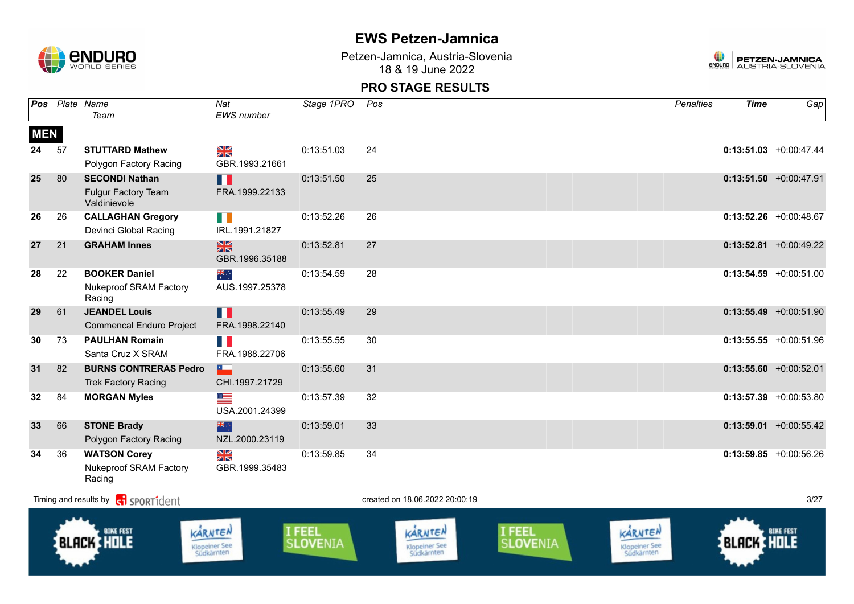

Petzen-Jamnica, Austria-Slovenia 18 & 19 June 2022



|            |    | Pos Plate Name<br>Team                                              | Nat<br><b>EWS</b> number        | Stage 1PRO | Pos | <b>Penalties</b> | <b>Time</b> | Gap                       |
|------------|----|---------------------------------------------------------------------|---------------------------------|------------|-----|------------------|-------------|---------------------------|
| <b>MEN</b> |    |                                                                     |                                 |            |     |                  |             |                           |
| 24         | 57 | <b>STUTTARD Mathew</b><br>Polygon Factory Racing                    | N<br>X<br>GBR.1993.21661        | 0:13:51.03 | 24  |                  |             | $0:13:51.03 + 0:00:47.44$ |
| 25         | 80 | <b>SECONDI Nathan</b><br><b>Fulgur Factory Team</b><br>Valdinievole | Ш<br>FRA.1999.22133             | 0:13:51.50 | 25  |                  |             | $0:13:51.50 + 0:00:47.91$ |
| 26         | 26 | <b>CALLAGHAN Gregory</b><br>Devinci Global Racing                   | H.<br>IRL.1991.21827            | 0:13:52.26 | 26  |                  |             | $0:13:52.26 + 0:00:48.67$ |
| 27         | 21 | <b>GRAHAM Innes</b>                                                 | $\frac{N}{N}$<br>GBR.1996.35188 | 0:13:52.81 | 27  |                  |             | $0:13:52.81$ +0:00:49.22  |
| 28         | 22 | <b>BOOKER Daniel</b><br><b>Nukeproof SRAM Factory</b><br>Racing     | $\frac{1}{2}$<br>AUS.1997.25378 | 0:13:54.59 | 28  |                  |             | $0:13:54.59 + 0:00:51.00$ |
| 29         | 61 | <b>JEANDEL Louis</b><br><b>Commencal Enduro Project</b>             | n I<br>FRA.1998.22140           | 0:13:55.49 | 29  |                  |             | $0:13:55.49 + 0:00:51.90$ |
| 30         | 73 | <b>PAULHAN Romain</b><br>Santa Cruz X SRAM                          | FRA.1988.22706                  | 0:13:55.55 | 30  |                  |             | $0:13:55.55 + 0:00:51.96$ |
| 31         | 82 | <b>BURNS CONTRERAS Pedro</b><br><b>Trek Factory Racing</b>          | F.<br>CHI.1997.21729            | 0:13:55.60 | 31  |                  |             | $0:13:55.60 + 0:00:52.01$ |
| 32         | 84 | <b>MORGAN Myles</b>                                                 | <u>est</u><br>USA.2001.24399    | 0:13:57.39 | 32  |                  |             | $0:13:57.39$ +0:00:53.80  |
| 33         | 66 | <b>STONE Brady</b><br>Polygon Factory Racing                        | 米市<br>NZL.2000.23119            | 0:13:59.01 | 33  |                  |             | $0:13:59.01$ +0:00:55.42  |
| 34         | 36 | <b>WATSON Corey</b><br><b>Nukeproof SRAM Factory</b><br>Racing      | XK<br>ZK<br>GBR.1999.35483      | 0:13:59.85 | 34  |                  |             | $0:13:59.85 + 0:00:56.26$ |

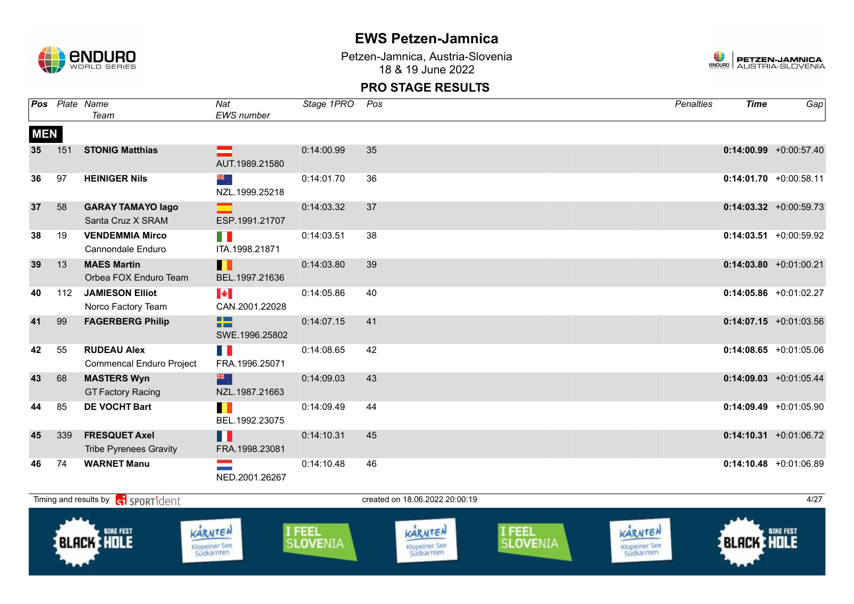

Petzen-Jamnica, Austria-Slovenia 18 & 19 June 2022



|            |     | Pos Plate Name<br>Team                                      | Nat<br>EWS number                       | Stage 1PRO | Pos                            | <b>Penalties</b> | <b>Time</b> | Gap                       |
|------------|-----|-------------------------------------------------------------|-----------------------------------------|------------|--------------------------------|------------------|-------------|---------------------------|
| <b>MEN</b> |     |                                                             |                                         |            |                                |                  |             |                           |
| 35         | 151 | <b>STONIG Matthias</b>                                      | AUT.1989.21580                          | 0:14:00.99 | 35                             |                  |             | $0:14:00.99$ +0:00:57.40  |
| 36         | 97  | <b>HEINIGER Nils</b>                                        | ≫iki<br>≫iki<br>NZL.1999.25218          | 0:14:01.70 | 36                             |                  |             | $0:14:01.70$ +0:00:58.11  |
| 37         | 58  | <b>GARAY TAMAYO lago</b><br>Santa Cruz X SRAM               | ESP.1991.21707                          | 0:14:03.32 | 37                             |                  |             | $0:14:03.32 +0:00:59.73$  |
| 38         | 19  | <b>VENDEMMIA Mirco</b><br>Cannondale Enduro                 | n a<br>ITA.1998.21871                   | 0:14:03.51 | 38                             |                  |             | $0:14:03.51$ +0:00:59.92  |
| 39         | 13  | <b>MAES Martin</b><br>Orbea FOX Enduro Team                 | Ш<br>BEL.1997.21636                     | 0:14:03.80 | 39                             |                  |             | $0:14:03.80 +0:01:00.21$  |
| 40         | 112 | <b>JAMIESON Elliot</b><br>Norco Factory Team                | $\blacktriangleright$<br>CAN.2001.22028 | 0:14:05.86 | 40                             |                  |             | $0:14:05.86 + 0:01:02.27$ |
| 41         | 99  | <b>FAGERBERG Philip</b>                                     | æ<br>SWE.1996.25802                     | 0:14:07.15 | 41                             |                  |             | $0:14:07.15 + 0:01:03.56$ |
| 42         | 55  | <b>RUDEAU Alex</b><br><b>Commencal Enduro Project</b>       | T N<br>FRA.1996.25071                   | 0:14:08.65 | 42                             |                  |             | $0:14:08.65$ +0:01:05.06  |
| 43         | 68  | <b>MASTERS Wyn</b><br><b>GT Factory Racing</b>              | 米的<br>NZL.1987.21663                    | 0:14:09.03 | 43                             |                  |             | $0:14:09.03$ +0:01:05.44  |
| 44         | 85  | <b>DE VOCHT Bart</b>                                        | H<br>BEL.1992.23075                     | 0:14:09.49 | 44                             |                  |             | $0:14:09.49$ +0:01:05.90  |
| 45         | 339 | <b>FRESQUET Axel</b><br><b>Tribe Pyrenees Gravity</b>       | H<br>FRA.1998.23081                     | 0:14:10.31 | 45                             |                  |             | $0:14:10.31$ +0:01:06.72  |
| 46         | 74  | <b>WARNET Manu</b>                                          | NED.2001.26267                          | 0:14:10.48 | 46                             |                  |             | $0:14:10.48$ +0:01:06.89  |
|            |     | Timing and results by <b>container that the SPORT1</b> dent |                                         |            | created on 18.06.2022 20:00:19 |                  |             | 4/27                      |

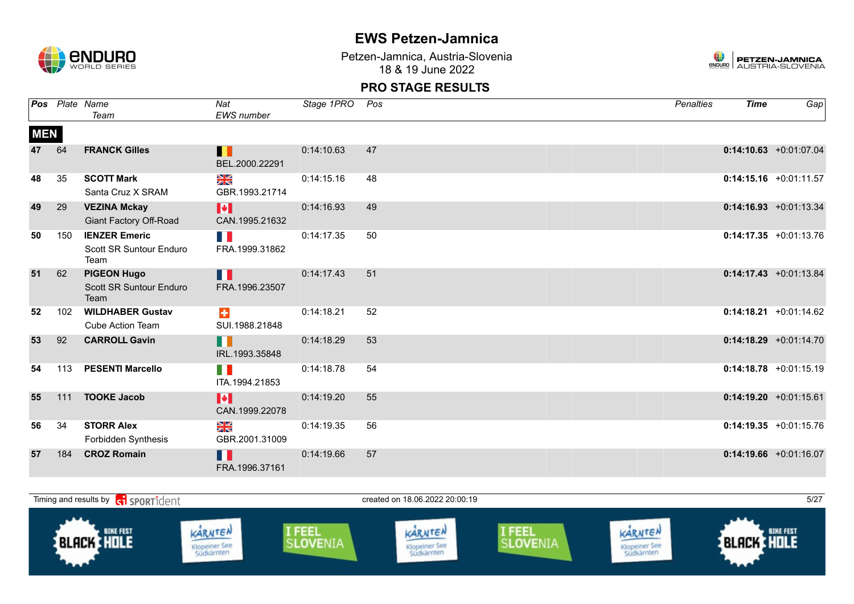

Petzen-Jamnica, Austria-Slovenia 18 & 19 June 2022



|            |     | <b>Pos</b> Plate Name<br>Team                           | Nat<br><b>EWS</b> number                          | Stage 1PRO | Pos | <b>Penalties</b> | <b>Time</b> | Gap                       |
|------------|-----|---------------------------------------------------------|---------------------------------------------------|------------|-----|------------------|-------------|---------------------------|
| <b>MEN</b> |     |                                                         |                                                   |            |     |                  |             |                           |
| 47         | 64  | <b>FRANCK Gilles</b>                                    | Ш<br>BEL.2000.22291                               | 0:14:10.63 | 47  |                  |             | $0:14:10.63$ +0:01:07.04  |
| 48         | 35  | <b>SCOTT Mark</b><br>Santa Cruz X SRAM                  | NK<br>ZK<br>GBR.1993.21714                        | 0:14:15.16 | 48  |                  |             | $0:14:15.16$ +0:01:11.57  |
| 49         | 29  | <b>VEZINA Mckay</b><br>Giant Factory Off-Road           | M<br>CAN.1995.21632                               | 0:14:16.93 | 49  |                  |             | $0:14:16.93 +0:01:13.34$  |
| 50         | 150 | <b>IENZER Emeric</b><br>Scott SR Suntour Enduro<br>Team | FRA.1999.31862                                    | 0:14:17.35 | 50  |                  |             | $0:14:17.35 + 0:01:13.76$ |
| 51         | 62  | <b>PIGEON Hugo</b><br>Scott SR Suntour Enduro<br>Team   | H<br>FRA.1996.23507                               | 0:14:17.43 | 51  |                  |             | $0:14:17.43 + 0:01:13.84$ |
| 52         | 102 | <b>WILDHABER Gustav</b><br><b>Cube Action Team</b>      | $\ddot{\bullet}$<br>SUI.1988.21848                | 0:14:18.21 | 52  |                  |             | $0:14:18.21 + 0:01:14.62$ |
| 53         | 92  | <b>CARROLL Gavin</b>                                    | <b>. .</b><br>IRL.1993.35848                      | 0:14:18.29 | 53  |                  |             | $0:14:18.29$ +0:01:14.70  |
| 54         | 113 | <b>PESENTI Marcello</b>                                 | n e<br>ITA.1994.21853                             | 0:14:18.78 | 54  |                  |             | $0:14:18.78 + 0:01:15.19$ |
| 55         | 111 | <b>TOOKE Jacob</b>                                      | M<br>CAN.1999.22078                               | 0:14:19.20 | 55  |                  |             | $0:14:19.20 +0:01:15.61$  |
| 56         | 34  | <b>STORR Alex</b><br>Forbidden Synthesis                | $\frac{\mathbf{N}}{\mathbf{N}}$<br>GBR.2001.31009 | 0:14:19.35 | 56  |                  |             | $0:14:19.35 +0:01:15.76$  |
| 57         | 184 | <b>CROZ Romain</b>                                      | H<br>FRA.1996.37161                               | 0:14:19.66 | 57  |                  |             | $0:14:19.66$ +0:01:16.07  |

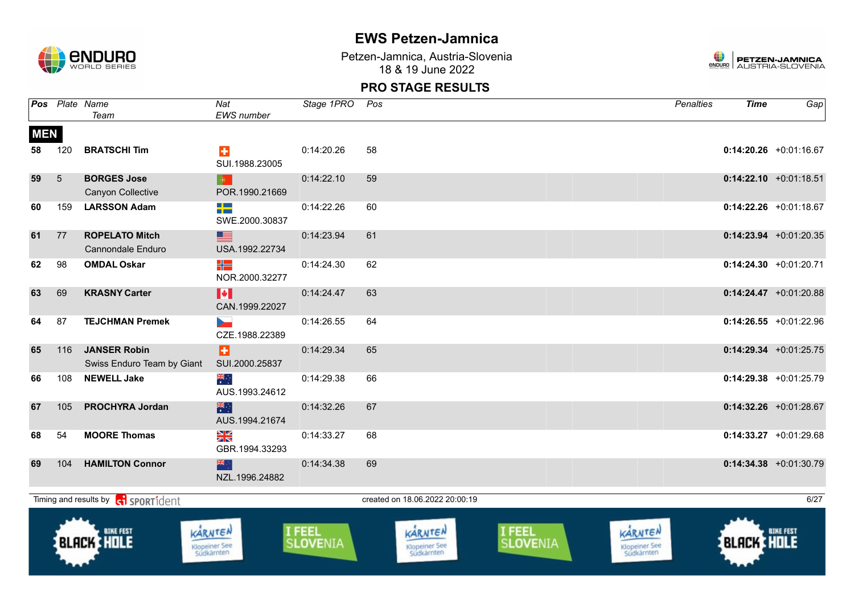

Petzen-Jamnica, Austria-Slovenia 18 & 19 June 2022



|                  |     | Pos Plate Name<br>Team                                      | Nat<br>EWS number                      | Stage 1PRO         | Pos                                    |                    | <b>Penalties</b>                       | <b>Time</b> | $\overline{Gap}$          |
|------------------|-----|-------------------------------------------------------------|----------------------------------------|--------------------|----------------------------------------|--------------------|----------------------------------------|-------------|---------------------------|
| <b>MEN</b><br>58 | 120 | <b>BRATSCHI Tim</b>                                         | $\ddot{\textbf{r}}$<br>SUI.1988.23005  | 0:14:20.26         | 58                                     |                    |                                        |             | $0:14:20.26$ +0:01:16.67  |
| 59               | 5   | <b>BORGES Jose</b><br>Canyon Collective                     | $\bullet$<br>POR.1990.21669            | 0:14:22.10         | 59                                     |                    |                                        |             | $0:14:22.10 + 0:01:18.51$ |
| 60               | 159 | <b>LARSSON Adam</b>                                         | ┽═<br>SWE.2000.30837                   | 0:14:22.26         | 60                                     |                    |                                        |             | $0:14:22.26 +0:01:18.67$  |
| 61               | 77  | <b>ROPELATO Mitch</b><br>Cannondale Enduro                  | ▇<br>USA.1992.22734                    | 0:14:23.94         | 61                                     |                    |                                        |             | $0:14:23.94$ +0:01:20.35  |
| 62               | 98  | <b>OMDAL Oskar</b>                                          | ╬<br>NOR.2000.32277                    | 0:14:24.30         | 62                                     |                    |                                        |             | $0:14:24.30 +0:01:20.71$  |
| 63               | 69  | <b>KRASNY Carter</b>                                        | H<br>CAN.1999.22027                    | 0:14:24.47         | 63                                     |                    |                                        |             | $0:14:24.47$ +0:01:20.88  |
| 64               | 87  | <b>TEJCHMAN Premek</b>                                      | CZE.1988.22389                         | 0:14:26.55         | 64                                     |                    |                                        |             | $0:14:26.55$ +0:01:22.96  |
| 65               | 116 | <b>JANSER Robin</b><br>Swiss Enduro Team by Giant           | H<br>SUI.2000.25837                    | 0:14:29.34         | 65                                     |                    |                                        |             | $0:14:29.34$ +0:01:25.75  |
| 66               | 108 | <b>NEWELL Jake</b>                                          | ्हें<br>AUS.1993.24612                 | 0:14:29.38         | 66                                     |                    |                                        |             | $0:14:29.38$ +0:01:25.79  |
| 67               | 105 | <b>PROCHYRA Jordan</b>                                      | 米村<br>AUS.1994.21674                   | 0:14:32.26         | 67                                     |                    |                                        |             | $0:14:32.26$ +0:01:28.67  |
| 68               | 54  | <b>MOORE Thomas</b>                                         | N<br>X<br>GBR.1994.33293               | 0:14:33.27         | 68                                     |                    |                                        |             | $0:14:33.27$ +0:01:29.68  |
| 69               | 104 | <b>HAMILTON Connor</b>                                      | ▓<br>NZL.1996.24882                    | 0:14:34.38         | 69                                     |                    |                                        |             | $0:14:34.38$ +0:01:30.79  |
|                  |     | Timing and results by <b>container that the SPORT1</b> dent |                                        |                    | created on 18.06.2022 20:00:19         |                    |                                        |             | 6/27                      |
|                  |     | <b>BLACK HOLE</b>                                           | KARNTEN<br>Klopeiner See<br>Südkärnten | I FEEL<br>SLOVENIA | KARNTEN<br>Klopeiner See<br>Südkärnten | I FEEL<br>SLOVENIA | KARNTEN<br>Klopeiner See<br>Südkärnten | BLACK HOLE  | <b>BIKE FEST</b>          |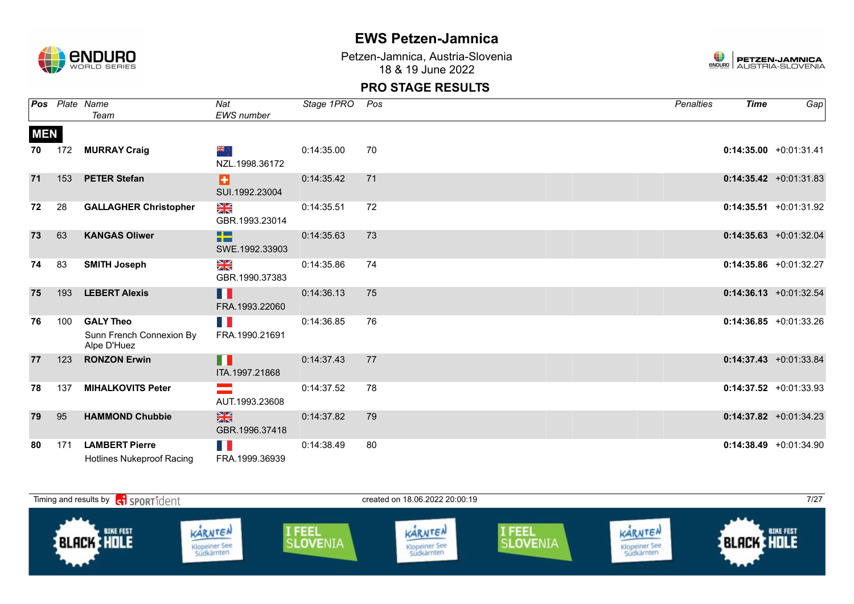

Petzen-Jamnica, Austria-Slovenia 18 & 19 June 2022



|            |     | Pos Plate Name                                              | Nat                              | Stage 1PRO | Pos | <b>Penalties</b> | <b>Time</b> | Gap                       |
|------------|-----|-------------------------------------------------------------|----------------------------------|------------|-----|------------------|-------------|---------------------------|
|            |     | Team                                                        | <b>EWS</b> number                |            |     |                  |             |                           |
| <b>MEN</b> |     |                                                             |                                  |            |     |                  |             |                           |
| 70         | 172 | <b>MURRAY Craig</b>                                         | ्रोह<br>⊰<br>NZL.1998.36172      | 0:14:35.00 | 70  |                  |             | $0:14:35.00 +0:01:31.41$  |
| 71         | 153 | <b>PETER Stefan</b>                                         | Ы<br>SUI.1992.23004              | 0:14:35.42 | 71  |                  |             | $0:14:35.42 +0:01:31.83$  |
| 72         | 28  | <b>GALLAGHER Christopher</b>                                | N<br>ZK<br>GBR.1993.23014        | 0:14:35.51 | 72  |                  |             | $0:14:35.51 + 0:01:31.92$ |
| 73         | 63  | <b>KANGAS Oliwer</b>                                        | ÷<br>SWE.1992.33903              | 0:14:35.63 | 73  |                  |             | $0:14:35.63 + 0:01:32.04$ |
| 74         | 83  | <b>SMITH Joseph</b>                                         | ≥k<br>GBR.1990.37383             | 0:14:35.86 | 74  |                  |             | $0:14:35.86 + 0:01:32.27$ |
| 75         | 193 | <b>LEBERT Alexis</b>                                        | Ш<br>FRA.1993.22060              | 0:14:36.13 | 75  |                  |             | $0:14:36.13 + 0:01:32.54$ |
| 76         | 100 | <b>GALY Theo</b><br>Sunn French Connexion By<br>Alpe D'Huez | FRA.1990.21691                   | 0:14:36.85 | 76  |                  |             | $0:14:36.85 +0:01:33.26$  |
| 77         | 123 | <b>RONZON Erwin</b>                                         | $\blacksquare$<br>ITA.1997.21868 | 0:14:37.43 | 77  |                  |             | $0:14:37.43 + 0:01:33.84$ |
| 78         | 137 | <b>MIHALKOVITS Peter</b>                                    | AUT.1993.23608                   | 0:14:37.52 | 78  |                  |             | $0:14:37.52 +0:01:33.93$  |
| 79         | 95  | <b>HAMMOND Chubbie</b>                                      | $\frac{N}{N}$<br>GBR.1996.37418  | 0:14:37.82 | 79  |                  |             | $0:14:37.82$ +0:01:34.23  |
| 80         | 171 | <b>LAMBERT Pierre</b><br><b>Hotlines Nukeproof Racing</b>   | H<br>FRA.1999.36939              | 0:14:38.49 | 80  |                  |             | $0:14:38.49 + 0:01:34.90$ |

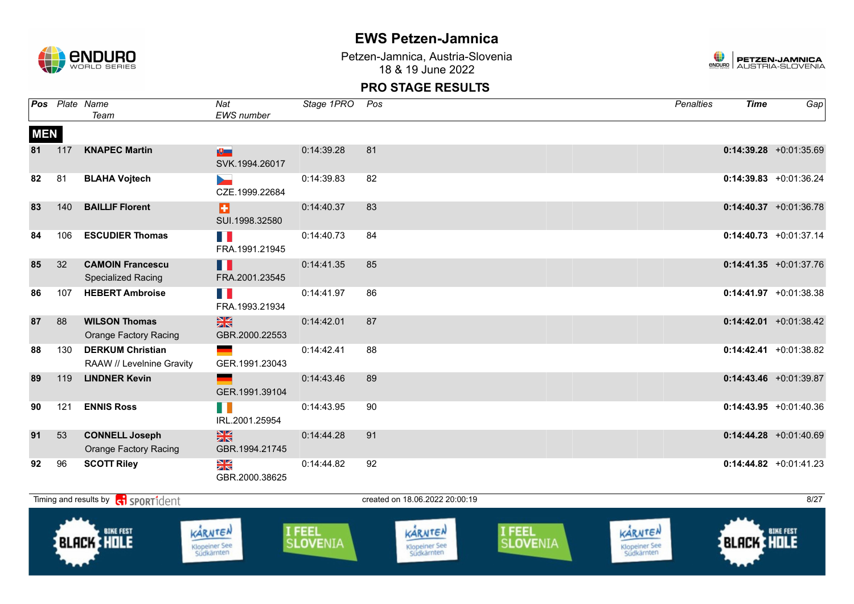

Petzen-Jamnica, Austria-Slovenia 18 & 19 June 2022



|            |     | Pos Plate Name<br>Team                               | Nat<br><b>EWS</b> number        | Stage 1PRO | Pos | <b>Penalties</b> | <b>Time</b> | Gap                       |
|------------|-----|------------------------------------------------------|---------------------------------|------------|-----|------------------|-------------|---------------------------|
| <b>MEN</b> |     |                                                      |                                 |            |     |                  |             |                           |
| 81         | 117 | <b>KNAPEC Martin</b>                                 | $\mathbf{E}$<br>SVK.1994.26017  | 0:14:39.28 | 81  |                  |             | $0:14:39.28$ +0:01:35.69  |
| 82         | 81  | <b>BLAHA Vojtech</b>                                 | b.<br>CZE.1999.22684            | 0:14:39.83 | 82  |                  |             | $0:14:39.83$ +0:01:36.24  |
| 83         | 140 | <b>BAILLIF Florent</b>                               | Ы<br>SUI.1998.32580             | 0:14:40.37 | 83  |                  |             | $0:14:40.37$ +0:01:36.78  |
| 84         | 106 | <b>ESCUDIER Thomas</b>                               | n p<br>FRA.1991.21945           | 0:14:40.73 | 84  |                  |             | $0:14:40.73$ +0:01:37.14  |
| 85         | 32  | <b>CAMOIN Francescu</b><br>Specialized Racing        | П<br>FRA.2001.23545             | 0:14:41.35 | 85  |                  |             | $0:14:41.35$ +0:01:37.76  |
| 86         | 107 | <b>HEBERT Ambroise</b>                               | H.<br>FRA.1993.21934            | 0:14:41.97 | 86  |                  |             | $0:14:41.97 +0:01:38.38$  |
| 87         | 88  | <b>WILSON Thomas</b><br><b>Orange Factory Racing</b> | 黑<br>GBR.2000.22553             | 0:14:42.01 | 87  |                  |             | $0:14:42.01$ +0:01:38.42  |
| 88         | 130 | <b>DERKUM Christian</b><br>RAAW // Levelnine Gravity | GER.1991.23043                  | 0:14:42.41 | 88  |                  |             | $0:14:42.41$ +0:01:38.82  |
| 89         | 119 | <b>LINDNER Kevin</b>                                 | GER.1991.39104                  | 0:14:43.46 | 89  |                  |             | $0:14:43.46$ +0:01:39.87  |
| 90         | 121 | <b>ENNIS Ross</b>                                    | H II<br>IRL.2001.25954          | 0:14:43.95 | 90  |                  |             | $0:14:43.95 +0:01:40.36$  |
| 91         | 53  | <b>CONNELL Joseph</b><br>Orange Factory Racing       | $\frac{N}{N}$<br>GBR.1994.21745 | 0:14:44.28 | 91  |                  |             | $0:14:44.28 + 0:01:40.69$ |
| 92         | 96  | <b>SCOTT Riley</b>                                   | ≥k<br>GBR.2000.38625            | 0:14:44.82 | 92  |                  |             | $0:14:44.82$ +0:01:41.23  |

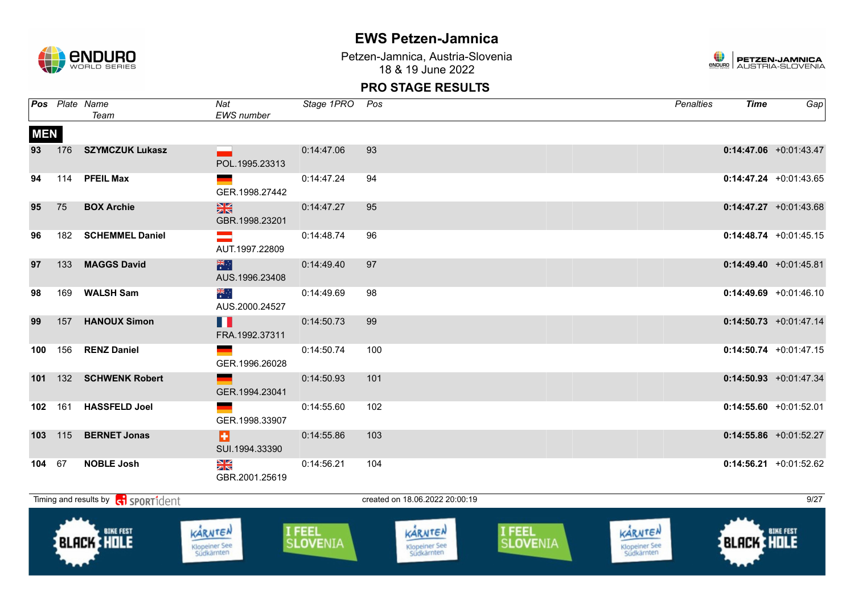

Petzen-Jamnica, Austria-Slovenia 18 & 19 June 2022



|            |         | Pos Plate Name<br>Team                                 | Nat<br>EWS number                            | Stage 1PRO Pos |                                | Penalties | Time | Gap                       |
|------------|---------|--------------------------------------------------------|----------------------------------------------|----------------|--------------------------------|-----------|------|---------------------------|
| <b>MEN</b> |         |                                                        |                                              |                |                                |           |      |                           |
|            |         | 93 176 SZYMCZUK Lukasz                                 | POL.1995.23313                               | 0:14:47.06     | 93                             |           |      | $0:14:47.06$ +0:01:43.47  |
| 94         |         | 114 PFEIL Max                                          | GER.1998.27442                               | 0:14:47.24     | 94                             |           |      | $0:14:47.24$ +0:01:43.65  |
| 95         | 75      | <b>BOX Archie</b>                                      | $\frac{N}{N}$<br>GBR.1998.23201              | 0:14:47.27     | 95                             |           |      | $0:14:47.27$ +0:01:43.68  |
| 96         |         | 182 SCHEMMEL Daniel                                    | $\equiv$<br>AUT.1997.22809                   | 0:14:48.74     | 96                             |           |      | $0:14:48.74 + 0:01:45.15$ |
| 97         |         | 133 MAGGS David                                        | AUS.1996.23408                               | 0:14:49.40     | 97                             |           |      | $0:14:49.40 +0:01:45.81$  |
| 98         |         | 169 WALSH Sam                                          | ्रेलि<br>AUS.2000.24527                      | 0:14:49.69     | 98                             |           |      | $0:14:49.69$ +0:01:46.10  |
| 99         |         | 157 HANOUX Simon                                       | п.<br>FRA.1992.37311                         | 0:14:50.73     | 99                             |           |      | $0:14:50.73$ +0:01:47.14  |
|            |         | 100 156 RENZ Daniel                                    | $\mathcal{L}_{\text{max}}$<br>GER.1996.26028 | 0:14:50.74     | 100                            |           |      | $0:14:50.74$ +0:01:47.15  |
|            |         | 101 132 SCHWENK Robert                                 | <u>and</u> and the state<br>GER.1994.23041   | 0:14:50.93     | 101                            |           |      | $0:14:50.93$ +0:01:47.34  |
|            |         | 102 161 HASSFELD Joel                                  | $\frac{1}{2}$ .<br>GER.1998.33907            | 0:14:55.60     | 102                            |           |      | $0:14:55.60 +0:01:52.01$  |
|            | 103 115 | <b>BERNET Jonas</b>                                    | в.<br>SUI.1994.33390                         | 0:14:55.86     | 103                            |           |      | $0:14:55.86$ +0:01:52.27  |
|            | 104 67  | <b>NOBLE Josh</b>                                      | $\frac{N}{N}$<br>GBR.2001.25619              | 0:14:56.21     | 104                            |           |      | $0:14:56.21$ +0:01:52.62  |
|            |         | Timing and results by <b>containst the SPORT1</b> dent |                                              |                | created on 18.06.2022 20:00:19 |           |      | 9/27                      |

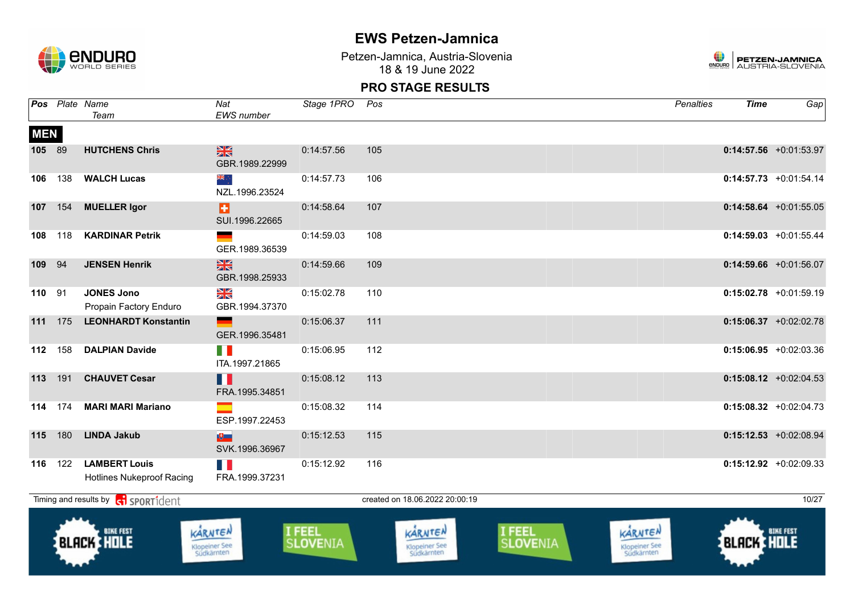

Petzen-Jamnica, Austria-Slovenia 18 & 19 June 2022



|            |     | Pos Plate Name<br>Team                                   | Nat<br>EWS number                      | Stage 1PRO         | Pos |                                        |                    | <b>Penalties</b>                       | <b>Time</b> | Gap                      |
|------------|-----|----------------------------------------------------------|----------------------------------------|--------------------|-----|----------------------------------------|--------------------|----------------------------------------|-------------|--------------------------|
| <b>MEN</b> |     |                                                          |                                        |                    |     |                                        |                    |                                        |             |                          |
| 105 89     |     | <b>HUTCHENS Chris</b>                                    | $\frac{N}{N}$<br>GBR.1989.22999        | 0:14:57.56         | 105 |                                        |                    |                                        |             | $0:14:57.56$ +0:01:53.97 |
| 106        | 138 | <b>WALCH Lucas</b>                                       | ang ∴<br>NZL.1996.23524                | 0:14:57.73         | 106 |                                        |                    |                                        |             | $0:14:57.73$ +0:01:54.14 |
| 107        | 154 | <b>MUELLER Igor</b>                                      | Ð<br>SUI.1996.22665                    | 0:14:58.64         | 107 |                                        |                    |                                        |             | $0:14:58.64$ +0:01:55.05 |
| 108        | 118 | <b>KARDINAR Petrik</b>                                   | GER.1989.36539                         | 0:14:59.03         | 108 |                                        |                    |                                        |             | $0:14:59.03$ +0:01:55.44 |
| 109        | 94  | <b>JENSEN Henrik</b>                                     | $\frac{2}{3}$<br>GBR.1998.25933        | 0:14:59.66         | 109 |                                        |                    |                                        |             | $0:14:59.66$ +0:01:56.07 |
| 110        | 91  | <b>JONES Jono</b><br>Propain Factory Enduro              | NK<br>ZK<br>GBR.1994.37370             | 0:15:02.78         | 110 |                                        |                    |                                        |             | $0:15:02.78$ +0:01:59.19 |
| 111        | 175 | <b>LEONHARDT Konstantin</b>                              | GER.1996.35481                         | 0:15:06.37         | 111 |                                        |                    |                                        |             | $0:15:06.37$ +0:02:02.78 |
| 112        | 158 | <b>DALPIAN Davide</b>                                    | M.<br>ITA.1997.21865                   | 0:15:06.95         | 112 |                                        |                    |                                        |             | $0:15:06.95$ +0:02:03.36 |
| 113        | 191 | <b>CHAUVET Cesar</b>                                     | H<br>FRA.1995.34851                    | 0:15:08.12         | 113 |                                        |                    |                                        |             | $0:15:08.12$ +0:02:04.53 |
| 114        | 174 | <b>MARI MARI Mariano</b>                                 | ESP.1997.22453                         | 0:15:08.32         | 114 |                                        |                    |                                        |             | $0:15:08.32 +0:02:04.73$ |
| 115        | 180 | <b>LINDA Jakub</b>                                       | 吧<br>SVK.1996.36967                    | 0:15:12.53         | 115 |                                        |                    |                                        |             | $0:15:12.53$ +0:02:08.94 |
| 116        | 122 | <b>LAMBERT Louis</b><br><b>Hotlines Nukeproof Racing</b> | T N<br>FRA.1999.37231                  | 0:15:12.92         | 116 |                                        |                    |                                        |             | $0:15:12.92$ +0:02:09.33 |
|            |     | Timing and results by $\left  \xi \right $ SPORT1 dent   |                                        |                    |     | created on 18.06.2022 20:00:19         |                    |                                        |             | 10/27                    |
|            |     | <b>BIKE FEST</b><br><b>BLACK HOLE</b>                    | KARNTEN<br>Klopeiner See<br>Südkärnten | I FEEL<br>SLOVENIA |     | KARNTEN<br>Klopeiner See<br>Südkärnten | I FEEL<br>SLOVENIA | KARNTEN<br>Klopeiner See<br>Südkärnten | BLACK HOLE  | <b>BIKE FEST</b>         |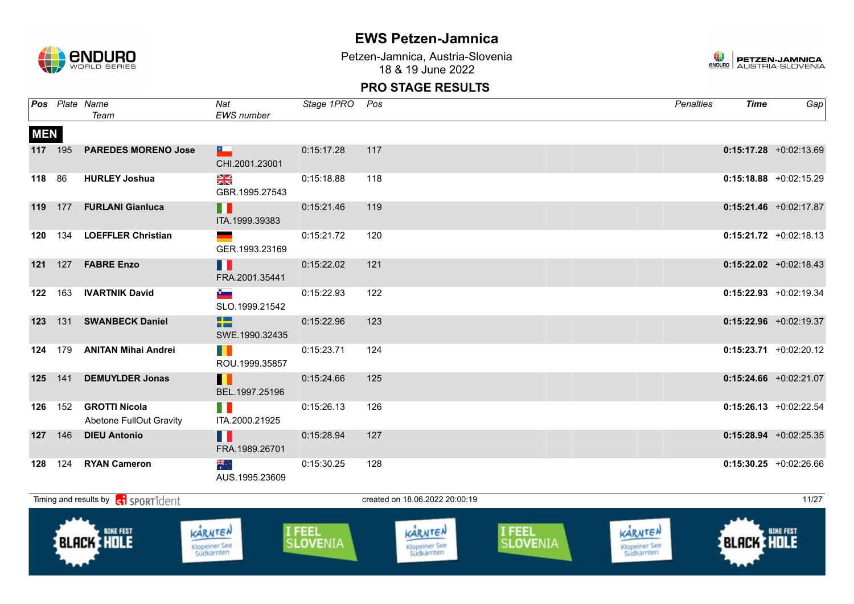

Petzen-Jamnica, Austria-Slovenia 18 & 19 June 2022



|            |                | Pos Plate Name<br>Team                                 | Nat<br><b>EWS</b> number               | Stage 1PRO Pos     |                                        |                    | <b>Penalties</b>                       | <b>Time</b> | Gap                       |
|------------|----------------|--------------------------------------------------------|----------------------------------------|--------------------|----------------------------------------|--------------------|----------------------------------------|-------------|---------------------------|
| <b>MEN</b> |                |                                                        |                                        |                    |                                        |                    |                                        |             |                           |
| 117 195    |                | <b>PAREDES MORENO Jose</b>                             | <b>E</b><br>CHI.2001.23001             | 0:15:17.28         | 117                                    |                    |                                        |             | $0:15:17.28$ +0:02:13.69  |
| 118 86     |                | <b>HURLEY Joshua</b>                                   | ≫<br>X<br>GBR.1995.27543               | 0:15:18.88         | 118                                    |                    |                                        |             | $0:15:18.88$ +0:02:15.29  |
| 119        |                | 177 FURLANI Gianluca                                   | n<br>ITA.1999.39383                    | 0:15:21.46         | 119                                    |                    |                                        |             | $0:15:21.46$ +0:02:17.87  |
|            |                | 120 134 LOEFFLER Christian                             | GER.1993.23169                         | 0:15:21.72         | 120                                    |                    |                                        |             | $0:15:21.72 +0:02:18.13$  |
|            |                | 121 127 FABRE Enzo                                     | П<br>FRA.2001.35441                    | 0:15:22.02         | 121                                    |                    |                                        |             | $0:15:22.02$ +0:02:18.43  |
|            |                | 122 163 IVARTNIK David                                 | $\ddot{\phantom{a}}$<br>SLO.1999.21542 | 0:15:22.93         | 122                                    |                    |                                        |             | $0:15:22.93$ +0:02:19.34  |
| 123        |                | 131 SWANBECK Daniel                                    | 42<br>SWE.1990.32435                   | 0:15:22.96         | 123                                    |                    |                                        |             | $0:15:22.96$ +0:02:19.37  |
|            |                | 124 179 ANITAN Mihai Andrei                            | <b>THE</b><br>ROU.1999.35857           | 0:15:23.71         | 124                                    |                    |                                        |             | $0:15:23.71$ +0:02:20.12  |
| 125 141    |                | <b>DEMUYLDER Jonas</b>                                 | Ш<br>BEL.1997.25196                    | 0:15:24.66         | 125                                    |                    |                                        |             | $0:15:24.66$ +0:02:21.07  |
|            | <b>126</b> 152 | <b>GROTTI Nicola</b><br><b>Abetone FullOut Gravity</b> | ITA.2000.21925                         | 0:15:26.13         | 126                                    |                    |                                        |             | $0:15:26.13 + 0:02:22.54$ |
|            |                | 127 146 DIEU Antonio                                   | Ш<br>FRA.1989.26701                    | 0:15:28.94         | 127                                    |                    |                                        |             | $0:15:28.94$ +0:02:25.35  |
| 128        |                | 124 RYAN Cameron                                       | ≫ik<br>*<br>AUS.1995.23609             | 0:15:30.25         | 128                                    |                    |                                        |             | $0:15:30.25$ +0:02:26.66  |
|            |                | Timing and results by <b>c</b> o sport ident           |                                        |                    | created on 18.06.2022 20:00:19         |                    |                                        |             | 11/27                     |
|            |                | <b>BLACK HOLE</b>                                      | KARNTEN<br>Klopeiner See<br>Südkärnten | I FEEL<br>SLOVENIA | KARNTEN<br>Klopeiner See<br>Südkärnten | I FEEL<br>SLOVENIA | KARNTEN<br>Klopeiner See<br>Südkärnten | BLACK HOLE  | <b>BIKE FEST</b>          |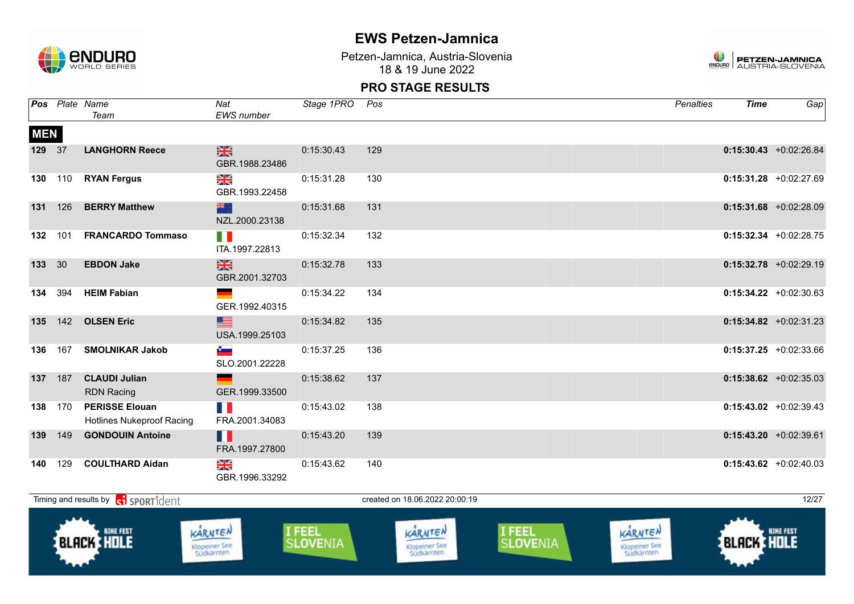

Klopeiner See<br>Südkärnten

## **EWS Petzen-Jamnica**

Petzen-Jamnica, Austria-Slovenia 18 & 19 June 2022



#### **PRO STAGE RESULTS**

|            |     | Pos Plate Name<br>Team                                    | Nat<br>EWS number                      | Stage 1PRO                | Pos |                                 |                    | Penalties                       | <b>Time</b>       | Gap                      |
|------------|-----|-----------------------------------------------------------|----------------------------------------|---------------------------|-----|---------------------------------|--------------------|---------------------------------|-------------------|--------------------------|
| <b>MEN</b> |     |                                                           |                                        |                           |     |                                 |                    |                                 |                   |                          |
| 129 37     |     | <b>LANGHORN Reece</b>                                     | $\frac{N}{N}$<br>GBR.1988.23486        | 0:15:30.43                | 129 |                                 |                    |                                 |                   | $0:15:30.43$ +0:02:26.84 |
| 130        | 110 | <b>RYAN Fergus</b>                                        | $\frac{N}{N}$<br>GBR.1993.22458        | 0:15:31.28                | 130 |                                 |                    |                                 |                   | $0:15:31.28$ +0:02:27.69 |
| 131        | 126 | <b>BERRY Matthew</b>                                      | 器心<br>NZL.2000.23138                   | 0:15:31.68                | 131 |                                 |                    |                                 |                   | $0:15:31.68$ +0:02:28.09 |
| 132        | 101 | <b>FRANCARDO Tommaso</b>                                  | FI N<br>ITA.1997.22813                 | 0:15:32.34                | 132 |                                 |                    |                                 |                   | $0:15:32.34$ +0:02:28.75 |
| 133 30     |     | <b>EBDON Jake</b>                                         | $\frac{N}{N}$<br>GBR.2001.32703        | 0:15:32.78                | 133 |                                 |                    |                                 |                   | $0:15:32.78$ +0:02:29.19 |
| 134        | 394 | <b>HEIM Fabian</b>                                        | GER.1992.40315                         | 0:15:34.22                | 134 |                                 |                    |                                 |                   | $0:15:34.22 +0:02:30.63$ |
| 135        | 142 | <b>OLSEN Eric</b>                                         | ▀<br>USA.1999.25103                    | 0:15:34.82                | 135 |                                 |                    |                                 |                   | $0:15:34.82$ +0:02:31.23 |
| 136        | 167 | <b>SMOLNIKAR Jakob</b>                                    | $\ddot{\phantom{a}}$<br>SLO.2001.22228 | 0:15:37.25                | 136 |                                 |                    |                                 |                   | $0:15:37.25 +0:02:33.66$ |
| 137        | 187 | <b>CLAUDI Julian</b><br><b>RDN Racing</b>                 | GER.1999.33500                         | 0:15:38.62                | 137 |                                 |                    |                                 |                   | $0:15:38.62$ +0:02:35.03 |
| 138        | 170 | <b>PERISSE Elouan</b><br><b>Hotlines Nukeproof Racing</b> | n M<br>FRA.2001.34083                  | 0:15:43.02                | 138 |                                 |                    |                                 |                   | $0:15:43.02 +0:02:39.43$ |
| 139        | 149 | <b>GONDOUIN Antoine</b>                                   | Ш<br>FRA.1997.27800                    | 0:15:43.20                | 139 |                                 |                    |                                 |                   | $0:15:43.20 +0:02:39.61$ |
| 140        | 129 | <b>COULTHARD Aidan</b>                                    | XK<br>GBR.1996.33292                   | 0:15:43.62                | 140 |                                 |                    |                                 |                   | $0:15:43.62$ +0:02:40.03 |
|            |     | Timing and results by <b>contains and the SPORT1</b> dent |                                        |                           |     | created on 18.06.2022 20:00:19  |                    |                                 |                   | 12/27                    |
|            |     | <b>BIKE FEST</b><br><b>BLACK HOLE</b>                     | KARNTEN<br><b>Klopeiner See</b>        | I FEEL<br><b>SLOVENIA</b> |     | KARNTEN<br><b>Klopeiner See</b> | I FEEL<br>SLOVENIA | KARNTEN<br><b>Klopeiner See</b> | <b>BLACK HOLE</b> | <b>BIKE FEST</b>         |

Klopeiner See<br>Südkärnten

Klopeiner See<br>Südkärnten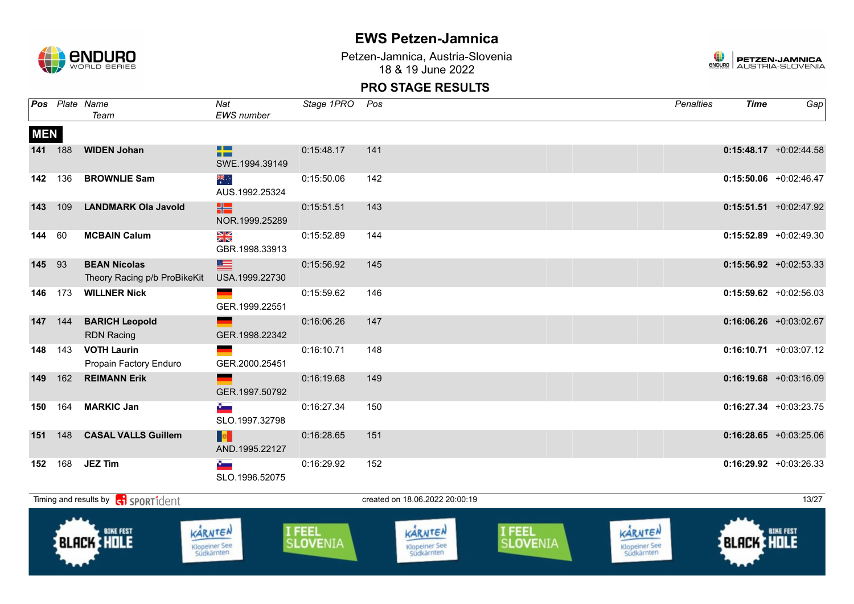

Petzen-Jamnica, Austria-Slovenia 18 & 19 June 2022



|            |     | Pos Plate Name<br>Team                              | Nat<br>EWS number                      | Stage 1PRO Pos     |                                               |                    | <b>Penalties</b>                              | <b>Time</b>       | Gap                       |
|------------|-----|-----------------------------------------------------|----------------------------------------|--------------------|-----------------------------------------------|--------------------|-----------------------------------------------|-------------------|---------------------------|
| <b>MEN</b> |     |                                                     |                                        |                    |                                               |                    |                                               |                   |                           |
| 141 188    |     | <b>WIDEN Johan</b>                                  | ٢Z<br>SWE.1994.39149                   | 0:15:48.17         | 141                                           |                    |                                               |                   | $0:15:48.17$ +0:02:44.58  |
| 142        | 136 | <b>BROWNLIE Sam</b>                                 | ैं<br>AUS.1992.25324                   | 0:15:50.06         | 142                                           |                    |                                               |                   | $0:15:50.06$ +0:02:46.47  |
| 143        | 109 | <b>LANDMARK Ola Javold</b>                          | HS.<br>NOR.1999.25289                  | 0:15:51.51         | 143                                           |                    |                                               |                   | $0:15:51.51$ +0:02:47.92  |
| 144        | 60  | <b>MCBAIN Calum</b>                                 | XK<br>GBR.1998.33913                   | 0:15:52.89         | 144                                           |                    |                                               |                   | $0:15:52.89$ +0:02:49.30  |
| 145        | 93  | <b>BEAN Nicolas</b><br>Theory Racing p/b ProBikeKit | ▆<br>USA.1999.22730                    | 0:15:56.92         | 145                                           |                    |                                               |                   | $0:15:56.92$ +0:02:53.33  |
| 146        | 173 | <b>WILLNER Nick</b>                                 | $\sim$ $\sim$<br>GER.1999.22551        | 0:15:59.62         | 146                                           |                    |                                               |                   | $0:15:59.62$ +0:02:56.03  |
| 147        | 144 | <b>BARICH Leopold</b><br><b>RDN Racing</b>          | GER.1998.22342                         | 0:16:06.26         | 147                                           |                    |                                               |                   | $0:16:06.26$ +0:03:02.67  |
| 148        | 143 | <b>VOTH Laurin</b><br>Propain Factory Enduro        | GER.2000.25451                         | 0:16:10.71         | 148                                           |                    |                                               |                   | $0:16:10.71 + 0:03:07.12$ |
| 149        | 162 | <b>REIMANN Erik</b>                                 | GER.1997.50792                         | 0:16:19.68         | 149                                           |                    |                                               |                   | $0:16:19.68$ +0:03:16.09  |
| 150        | 164 | <b>MARKIC Jan</b>                                   | $\bullet$<br>SLO.1997.32798            | 0:16:27.34         | 150                                           |                    |                                               |                   | $0:16:27.34$ +0:03:23.75  |
| 151        | 148 | <b>CASAL VALLS Guillem</b>                          | <b>B</b><br>AND.1995.22127             | 0:16:28.65         | 151                                           |                    |                                               |                   | $0:16:28.65$ +0:03:25.06  |
| 152        |     | 168 <b>JEZ Tim</b>                                  | $\bullet$<br>SLO.1996.52075            | 0:16:29.92         | 152                                           |                    |                                               |                   | $0:16:29.92$ +0:03:26.33  |
|            |     | Timing and results by <b>contract</b> sport ident   |                                        |                    | created on 18.06.2022 20:00:19                |                    |                                               |                   | 13/27                     |
|            |     | <b>BLACK HOLE</b>                                   | KARNTEN<br>Klopeiner See<br>Südkärnten | I FEEL<br>SLOVENIA | KARNTEN<br><b>Klopeiner See</b><br>Südkärnten | I FEEL<br>SLOVENIA | KARNTEN<br><b>Klopeiner See</b><br>Südkärnten | <b>BLACK HOLE</b> |                           |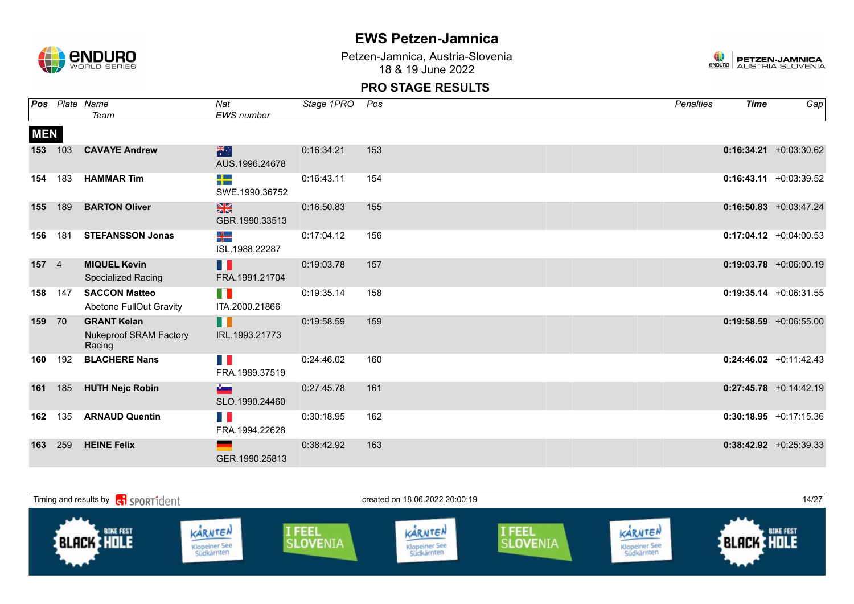

Petzen-Jamnica, Austria-Slovenia 18 & 19 June 2022



|            |                | Pos Plate Name<br>Team                                        | Nat<br>EWS number                | Stage 1PRO | Pos | <b>Penalties</b> | <b>Time</b> | Gap                       |
|------------|----------------|---------------------------------------------------------------|----------------------------------|------------|-----|------------------|-------------|---------------------------|
| <b>MEN</b> |                |                                                               |                                  |            |     |                  |             |                           |
| 153        | 103            | <b>CAVAYE Andrew</b>                                          | 米<br>AUS.1996.24678              | 0:16:34.21 | 153 |                  |             | $0:16:34.21 + 0:03:30.62$ |
| 154        | 183            | <b>HAMMAR Tim</b>                                             | -13<br>SWE.1990.36752            | 0:16:43.11 | 154 |                  |             | $0:16:43.11 + 0:03:39.52$ |
| 155        | 189            | <b>BARTON Oliver</b>                                          | $\frac{N}{N}$<br>GBR.1990.33513  | 0:16:50.83 | 155 |                  |             | $0:16:50.83 + 0:03:47.24$ |
| 156        | 181            | <b>STEFANSSON Jonas</b>                                       | ╪═<br>ISL.1988.22287             | 0:17:04.12 | 156 |                  |             | $0:17:04.12 + 0:04:00.53$ |
| 157        | $\overline{4}$ | <b>MIQUEL Kevin</b><br><b>Specialized Racing</b>              | Ш<br>FRA.1991.21704              | 0:19:03.78 | 157 |                  |             | $0:19:03.78$ +0:06:00.19  |
| 158        | 147            | <b>SACCON Matteo</b><br>Abetone FullOut Gravity               | T B<br>ITA.2000.21866            | 0:19:35.14 | 158 |                  |             | $0:19:35.14$ +0:06:31.55  |
| 159        | 70             | <b>GRANT Kelan</b><br><b>Nukeproof SRAM Factory</b><br>Racing | H<br>IRL.1993.21773              | 0:19:58.59 | 159 |                  |             | $0:19:58.59 + 0:06:55.00$ |
| 160        | 192            | <b>BLACHERE Nans</b>                                          | FRA.1989.37519                   | 0:24:46.02 | 160 |                  |             | $0:24:46.02 +0:11:42.43$  |
| 161        | 185            | <b>HUTH Nejc Robin</b>                                        | <b>Company</b><br>SLO.1990.24460 | 0:27:45.78 | 161 |                  |             | $0:27:45.78$ +0:14:42.19  |
| 162        | 135            | <b>ARNAUD Quentin</b>                                         | Ш<br>FRA.1994.22628              | 0:30:18.95 | 162 |                  |             | $0:30:18.95 +0:17:15.36$  |
| 163        | 259            | <b>HEINE Felix</b>                                            | GER.1990.25813                   | 0:38:42.92 | 163 |                  |             | $0:38:42.92 + 0:25:39.33$ |

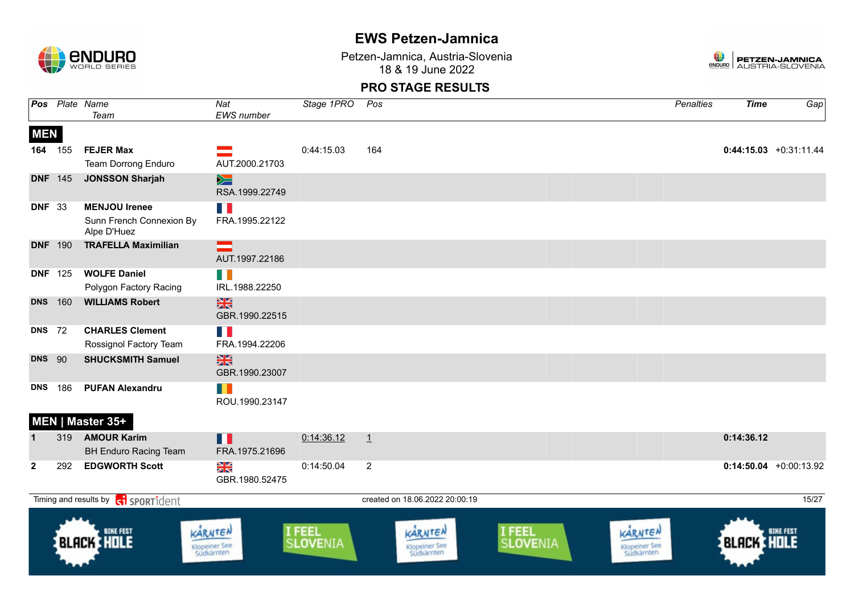

Petzen-Jamnica, Austria-Slovenia 18 & 19 June 2022



|                   |                | Pos Plate Name<br>Team                                          | Nat<br>EWS number                             | Stage 1PRO         | Pos                                           |                    | Penalties                                     | <b>Time</b>       | Gap                      |
|-------------------|----------------|-----------------------------------------------------------------|-----------------------------------------------|--------------------|-----------------------------------------------|--------------------|-----------------------------------------------|-------------------|--------------------------|
| <b>MEN</b><br>164 | 155            | <b>FEJER Max</b><br>Team Dorrong Enduro                         | AUT.2000.21703                                | 0:44:15.03         | 164                                           |                    |                                               |                   | $0:44:15.03 +0:31:11.44$ |
|                   | <b>DNF</b> 145 | <b>JONSSON Sharjah</b>                                          | $\geq$<br>RSA.1999.22749                      |                    |                                               |                    |                                               |                   |                          |
| <b>DNF</b> 33     |                | <b>MENJOU Irenee</b><br>Sunn French Connexion By<br>Alpe D'Huez | FRA.1995.22122                                |                    |                                               |                    |                                               |                   |                          |
|                   | <b>DNF</b> 190 | <b>TRAFELLA Maximilian</b>                                      | ▅<br>AUT.1997.22186                           |                    |                                               |                    |                                               |                   |                          |
|                   | <b>DNF</b> 125 | <b>WOLFE Daniel</b><br>Polygon Factory Racing                   | H<br>IRL.1988.22250                           |                    |                                               |                    |                                               |                   |                          |
| <b>DNS</b>        | 160            | <b>WILLIAMS Robert</b>                                          | $\frac{N}{N}$<br>GBR.1990.22515               |                    |                                               |                    |                                               |                   |                          |
| <b>DNS</b> 72     |                | <b>CHARLES Clement</b><br>Rossignol Factory Team                | n e<br>FRA.1994.22206                         |                    |                                               |                    |                                               |                   |                          |
| <b>DNS</b> 90     |                | <b>SHUCKSMITH Samuel</b>                                        | $\frac{N}{N}$<br>GBR.1990.23007               |                    |                                               |                    |                                               |                   |                          |
| <b>DNS</b>        | 186            | <b>PUFAN Alexandru</b>                                          | H<br>ROU.1990.23147                           |                    |                                               |                    |                                               |                   |                          |
|                   |                | MEN   Master 35+                                                |                                               |                    |                                               |                    |                                               |                   |                          |
| $\mathbf 1$       | 319            | <b>AMOUR Karim</b><br><b>BH Enduro Racing Team</b>              | H<br>FRA.1975.21696                           | 0:14:36.12         | $\perp$                                       |                    |                                               | 0:14:36.12        |                          |
| $\mathbf{2}$      | 292            | <b>EDGWORTH Scott</b>                                           | <u>Ng</u><br>GBR.1980.52475                   | 0:14:50.04         | $\overline{2}$                                |                    |                                               |                   | $0:14:50.04$ +0:00:13.92 |
|                   |                | Timing and results by <b>contains and the SPORT1</b> dent       |                                               |                    | created on 18.06.2022 20:00:19                |                    |                                               |                   | 15/27                    |
|                   |                | <b>BLACK HOLE</b>                                               | KARNTEN<br><b>Klopeiner See</b><br>Südkärnten | I FEEL<br>SLOVENIA | KARNTEN<br><b>Klopeiner See</b><br>Südkärnten | I FEEL<br>SLOVENIA | KARNTEN<br><b>Klopeiner See</b><br>Südkärnten | <b>BLACK HOLE</b> | <b>BIKE FEST</b>         |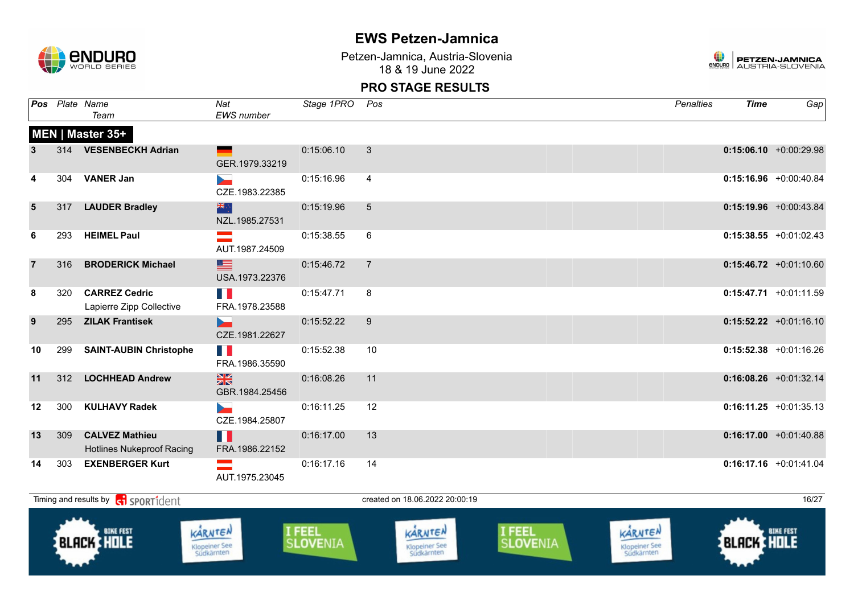

Petzen-Jamnica, Austria-Slovenia 18 & 19 June 2022



|                 |     | Pos Plate Name<br>Team                                    | Nat<br><b>EWS</b> number                   | Stage 1PRO | Pos            | <b>Penalties</b> | <b>Time</b> | Gap                       |
|-----------------|-----|-----------------------------------------------------------|--------------------------------------------|------------|----------------|------------------|-------------|---------------------------|
|                 |     | MEN   Master 35+                                          |                                            |            |                |                  |             |                           |
| 3               |     | 314 VESENBECKH Adrian                                     | GER.1979.33219                             | 0:15:06.10 | 3              |                  |             | $0:15:06.10 + 0:00:29.98$ |
| 4               |     | 304 VANER Jan                                             | $\sim$<br>CZE.1983.22385                   | 0:15:16.96 | $\overline{4}$ |                  |             | $0:15:16.96$ +0:00:40.84  |
| $5\phantom{.0}$ | 317 | <b>LAUDER Bradley</b>                                     | 米克<br>NZL.1985.27531                       | 0:15:19.96 | $\overline{5}$ |                  |             | $0:15:19.96$ +0:00:43.84  |
| 6               | 293 | <b>HEIMEL Paul</b>                                        | AUT.1987.24509                             | 0:15:38.55 | 6              |                  |             | $0:15:38.55 + 0:01:02.43$ |
|                 | 316 | <b>BRODERICK Michael</b>                                  | ■■<br>USA.1973.22376                       | 0:15:46.72 | $\overline{7}$ |                  |             | $0:15:46.72$ +0:01:10.60  |
| 8               | 320 | <b>CARREZ Cedric</b><br>Lapierre Zipp Collective          | M.<br>FRA.1978.23588                       | 0:15:47.71 | 8              |                  |             | $0:15:47.71$ +0:01:11.59  |
| 9               | 295 | <b>ZILAK Frantisek</b>                                    | $\overline{\phantom{a}}$<br>CZE.1981.22627 | 0:15:52.22 | 9              |                  |             | $0:15:52.22 +0:01:16.10$  |
| 10              | 299 | <b>SAINT-AUBIN Christophe</b>                             | n n<br>FRA.1986.35590                      | 0:15:52.38 | 10             |                  |             | $0:15:52.38$ +0:01:16.26  |
| 11              | 312 | <b>LOCHHEAD Andrew</b>                                    | $\frac{N}{2N}$<br>GBR.1984.25456           | 0:16:08.26 | 11             |                  |             | $0:16:08.26$ +0:01:32.14  |
| 12              | 300 | <b>KULHAVY Radek</b>                                      | <b>Designation</b><br>CZE.1984.25807       | 0:16:11.25 | 12             |                  |             | $0:16:11.25 +0:01:35.13$  |
| 13              | 309 | <b>CALVEZ Mathieu</b><br><b>Hotlines Nukeproof Racing</b> | Ш<br>FRA.1986.22152                        | 0:16:17.00 | 13             |                  |             | $0:16:17.00 + 0:01:40.88$ |
| 14              | 303 | <b>EXENBERGER Kurt</b>                                    | $\mathcal{L}$<br>AUT.1975.23045            | 0:16:17.16 | 14             |                  |             | $0:16:17.16$ +0:01:41.04  |

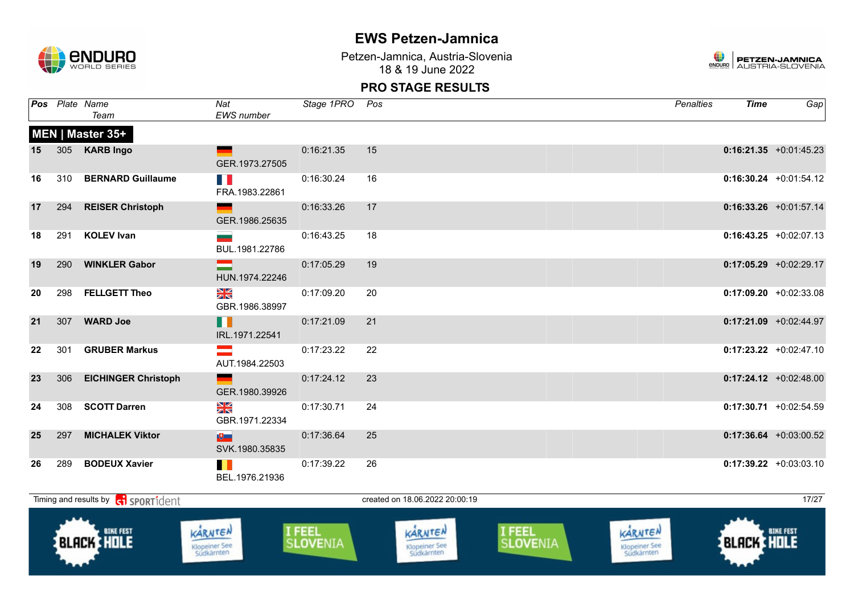

Petzen-Jamnica, Austria-Slovenia 18 & 19 June 2022



|    |     | Pos Plate Name<br>Team                            | Nat<br><b>EWS</b> number                       | Stage 1PRO Pos |                                | Penalties | <b>Time</b> | Gap                       |
|----|-----|---------------------------------------------------|------------------------------------------------|----------------|--------------------------------|-----------|-------------|---------------------------|
|    |     | MEN   Master 35+                                  |                                                |                |                                |           |             |                           |
| 15 |     | 305 KARB Ingo                                     | <u>e a</u><br>GER.1973.27505                   | 0:16:21.35     | 15                             |           |             | $0:16:21.35$ +0:01:45.23  |
| 16 |     | 310 BERNARD Guillaume                             | FRA.1983.22861                                 | 0:16:30.24     | 16                             |           |             | $0:16:30.24$ +0:01:54.12  |
| 17 |     | 294 REISER Christoph                              | GER.1986.25635                                 | 0:16:33.26     | 17                             |           |             | $0:16:33.26 +0:01:57.14$  |
| 18 |     | 291 KOLEV Ivan                                    | BUL.1981.22786                                 | 0:16:43.25     | 18                             |           |             | $0:16:43.25 +0:02:07.13$  |
| 19 | 290 | <b>WINKLER Gabor</b>                              | =<br>HUN.1974.22246                            | 0:17:05.29     | 19                             |           |             | $0:17:05.29 + 0:02:29.17$ |
| 20 |     | 298 FELLGETT Theo                                 | N<br>X<br>GBR.1986.38997                       | 0:17:09.20     | 20                             |           |             | $0:17:09.20$ +0:02:33.08  |
| 21 |     | 307 WARD Joe                                      | n<br>IRL.1971.22541                            | 0:17:21.09     | 21                             |           |             | $0:17:21.09$ +0:02:44.97  |
| 22 |     | 301 GRUBER Markus                                 | $\equiv$<br>AUT.1984.22503                     | 0:17:23.22     | 22                             |           |             | $0:17:23.22 +0:02:47.10$  |
| 23 |     | 306 EICHINGER Christoph                           | <b>Property</b> the property<br>GER.1980.39926 | 0:17:24.12     | 23                             |           |             | $0:17:24.12$ +0:02:48.00  |
| 24 |     | 308 SCOTT Darren                                  | XK<br>GBR.1971.22334                           | 0:17:30.71     | 24                             |           |             | $0:17:30.71 + 0:02:54.59$ |
| 25 | 297 | <b>MICHALEK Viktor</b>                            | $\theta$<br>SVK.1980.35835                     | 0:17:36.64     | 25                             |           |             | $0:17:36.64$ +0:03:00.52  |
| 26 |     | 289 BODEUX Xavier                                 | BEL.1976.21936                                 | 0:17:39.22     | 26                             |           |             | $0:17:39.22 +0:03:03.10$  |
|    |     | Timing and results by contract of the SPORT1 dent |                                                |                | created on 18.06.2022 20:00:19 |           |             | 17/27                     |

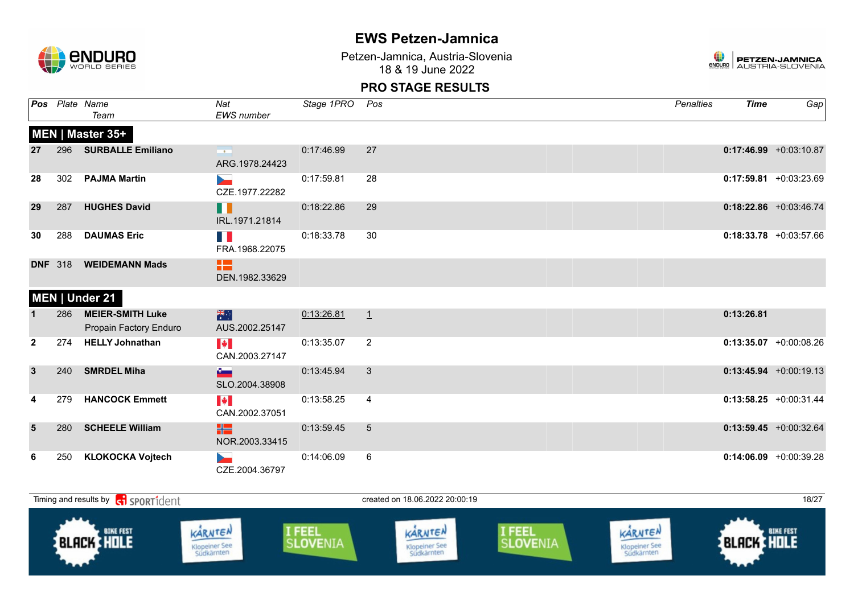

Petzen-Jamnica, Austria-Slovenia 18 & 19 June 2022



|              |                | Pos Plate Name<br>Team                            | Nat<br><b>EWS</b> number                        | Stage 1PRO | Pos             | Penalties | <b>Time</b> | Gap                       |
|--------------|----------------|---------------------------------------------------|-------------------------------------------------|------------|-----------------|-----------|-------------|---------------------------|
|              |                | MEN   Master 35+                                  |                                                 |            |                 |           |             |                           |
| 27           |                | 296 SURBALLE Emiliano                             | $\mathbf{m}$ and $\mathbf{m}$<br>ARG.1978.24423 | 0:17:46.99 | 27              |           |             | $0:17:46.99$ +0:03:10.87  |
| 28           |                | 302 PAJMA Martin                                  | <b>Dents</b><br>CZE.1977.22282                  | 0:17:59.81 | 28              |           |             | $0:17:59.81 + 0:03:23.69$ |
| 29           | 287            | <b>HUGHES David</b>                               | m<br>IRL.1971.21814                             | 0:18:22.86 | 29              |           |             | $0:18:22.86$ +0:03:46.74  |
| 30           | 288            | <b>DAUMAS Eric</b>                                | H.<br>FRA.1968.22075                            | 0:18:33.78 | 30              |           |             | $0:18:33.78$ +0:03:57.66  |
|              | <b>DNF</b> 318 | <b>WEIDEMANN Mads</b>                             | æ<br>DEN.1982.33629                             |            |                 |           |             |                           |
|              |                | MEN   Under 21                                    |                                                 |            |                 |           |             |                           |
|              | 286            | <b>MEIER-SMITH Luke</b><br>Propain Factory Enduro | 米<br>AUS.2002.25147                             | 0:13:26.81 | $\perp$         |           | 0:13:26.81  |                           |
| $\mathbf{2}$ | 274            | <b>HELLY Johnathan</b>                            | $\left\  \bm{\psi} \right\ $<br>CAN.2003.27147  | 0:13:35.07 | $\overline{2}$  |           |             | $0:13:35.07$ +0:00:08.26  |
| $\mathbf{3}$ |                | 240 SMRDEL Miha                                   | $\sim$<br>SLO.2004.38908                        | 0:13:45.94 | 3               |           |             | $0:13:45.94 +0:00:19.13$  |
|              | 279            | <b>HANCOCK Emmett</b>                             | <b>I</b> the line<br>CAN.2002.37051             | 0:13:58.25 | $\overline{4}$  |           |             | $0:13:58.25 + 0:00:31.44$ |
| 5            | 280            | <b>SCHEELE William</b>                            | H2  <br>NOR.2003.33415                          | 0:13:59.45 | $5\phantom{.0}$ |           |             | $0:13:59.45$ +0:00:32.64  |
| 6            | 250            | <b>KLOKOCKA Vojtech</b>                           | <b>Service</b><br>CZE.2004.36797                | 0:14:06.09 | 6               |           |             | $0:14:06.09$ +0:00:39.28  |

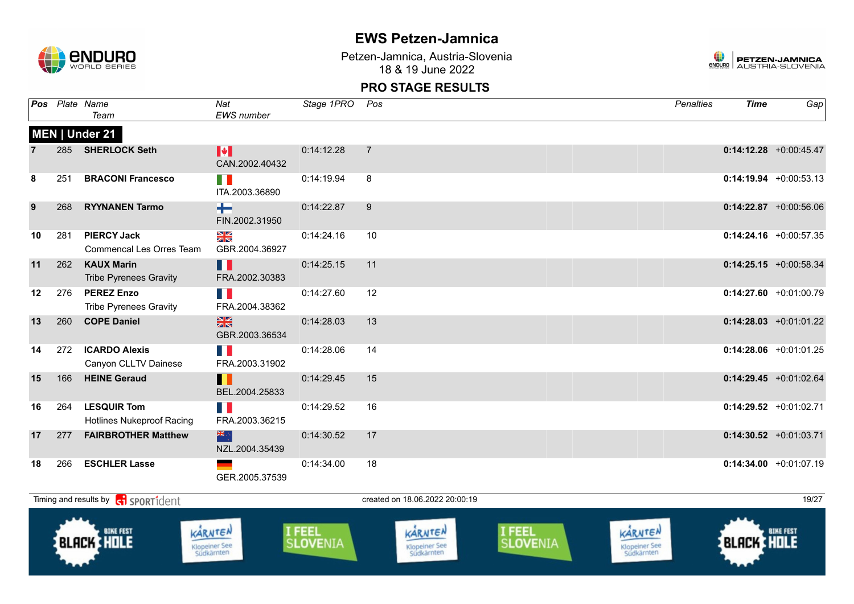

Petzen-Jamnica, Austria-Slovenia 18 & 19 June 2022



| Pos |     | Plate Name<br>Team                                    | Nat<br><b>EWS</b> number        | Stage 1PRO | Pos                            | Penalties | <b>Time</b> | Gap                       |
|-----|-----|-------------------------------------------------------|---------------------------------|------------|--------------------------------|-----------|-------------|---------------------------|
|     |     | MEN   Under 21                                        |                                 |            |                                |           |             |                           |
|     |     | 285 SHERLOCK Seth                                     | M<br>CAN.2002.40432             | 0:14:12.28 | $\overline{7}$                 |           |             | $0:14:12.28$ +0:00:45.47  |
| 8   | 251 | <b>BRACONI Francesco</b>                              | n n<br>ITA.2003.36890           | 0:14:19.94 | 8                              |           |             | $0:14:19.94$ +0:00:53.13  |
| 9   | 268 | <b>RYYNANEN Tarmo</b>                                 | ╈<br>FIN.2002.31950             | 0:14:22.87 | 9                              |           |             | $0:14:22.87$ +0:00:56.06  |
| 10  | 281 | <b>PIERCY Jack</b><br><b>Commencal Les Orres Team</b> | $\frac{N}{N}$<br>GBR.2004.36927 | 0:14:24.16 | 10                             |           |             | $0:14:24.16$ +0:00:57.35  |
| 11  | 262 | <b>KAUX Marin</b><br><b>Tribe Pyrenees Gravity</b>    | Ш<br>FRA.2002.30383             | 0:14:25.15 | 11                             |           |             | $0:14:25.15 + 0:00:58.34$ |
| 12  | 276 | <b>PEREZ Enzo</b><br><b>Tribe Pyrenees Gravity</b>    | n a<br>FRA.2004.38362           | 0:14:27.60 | 12                             |           |             | $0:14:27.60$ +0:01:00.79  |
| 13  | 260 | <b>COPE Daniel</b>                                    | <b>SK</b><br>GBR.2003.36534     | 0:14:28.03 | 13                             |           |             | $0:14:28.03$ +0:01:01.22  |
| 14  | 272 | <b>ICARDO Alexis</b><br>Canyon CLLTV Dainese          | H N<br>FRA.2003.31902           | 0:14:28.06 | 14                             |           |             | $0:14:28.06$ +0:01:01.25  |
| 15  | 166 | <b>HEINE Geraud</b>                                   | H<br>BEL.2004.25833             | 0:14:29.45 | 15                             |           |             | $0:14:29.45$ +0:01:02.64  |
| 16  | 264 | <b>LESQUIR Tom</b><br>Hotlines Nukeproof Racing       | H<br>FRA.2003.36215             | 0:14:29.52 | 16                             |           |             | $0:14:29.52 +0:01:02.71$  |
| 17  | 277 | <b>FAIRBROTHER Matthew</b>                            | 深深<br>NZL.2004.35439            | 0:14:30.52 | 17                             |           |             | $0:14:30.52$ +0:01:03.71  |
| 18  | 266 | <b>ESCHLER Lasse</b>                                  | GER.2005.37539                  | 0:14:34.00 | 18                             |           |             | $0:14:34.00 +0:01:07.19$  |
|     |     | Timing and results by contrident                      |                                 |            | created on 18.06.2022 20:00:19 |           |             | 19/27                     |

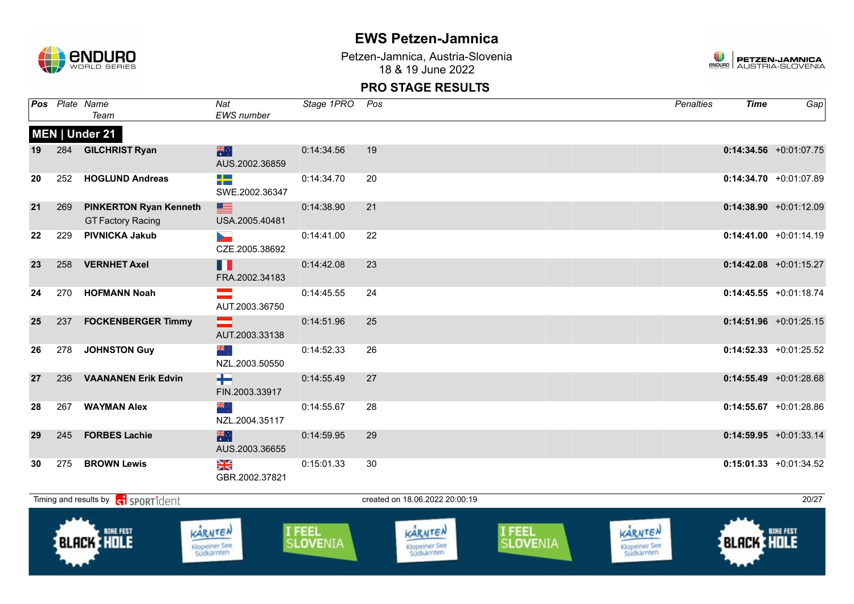

Petzen-Jamnica, Austria-Slovenia 18 & 19 June 2022



|    |     | Pos Plate Name<br>Team                                    | Nat<br><b>EWS</b> number                   | Stage 1PRO Pos |    | <b>Penalties</b> | <b>Time</b> | Gap                       |
|----|-----|-----------------------------------------------------------|--------------------------------------------|----------------|----|------------------|-------------|---------------------------|
|    |     | MEN   Under 21                                            |                                            |                |    |                  |             |                           |
| 19 |     | 284 GILCHRIST Ryan                                        | 米村<br>AUS.2002.36859                       | 0:14:34.56     | 19 |                  |             | $0:14:34.56$ +0:01:07.75  |
| 20 | 252 | <b>HOGLUND Andreas</b>                                    | ┽<br>SWE.2002.36347                        | 0:14:34.70     | 20 |                  |             | $0:14:34.70 +0:01:07.89$  |
| 21 | 269 | <b>PINKERTON Ryan Kenneth</b><br><b>GT Factory Racing</b> | ▆<br>USA.2005.40481                        | 0:14:38.90     | 21 |                  |             | $0:14:38.90 +0:01:12.09$  |
| 22 | 229 | <b>PIVNICKA Jakub</b>                                     | $\overline{\phantom{a}}$<br>CZE.2005.38692 | 0:14:41.00     | 22 |                  |             | $0:14:41.00 + 0:01:14.19$ |
| 23 | 258 | <b>VERNHET Axel</b>                                       | Ш<br>FRA.2002.34183                        | 0:14:42.08     | 23 |                  |             | $0:14:42.08$ +0:01:15.27  |
| 24 | 270 | <b>HOFMANN Noah</b>                                       | AUT.2003.36750                             | 0:14:45.55     | 24 |                  |             | $0:14:45.55$ +0:01:18.74  |
| 25 | 237 | <b>FOCKENBERGER Timmy</b>                                 | $\equiv$<br>AUT.2003.33138                 | 0:14:51.96     | 25 |                  |             | $0:14:51.96$ +0:01:25.15  |
| 26 | 278 | <b>JOHNSTON Guy</b>                                       | ैं, श्रेह<br>NZL.2003.50550                | 0:14:52.33     | 26 |                  |             | $0:14:52.33 +0:01:25.52$  |
| 27 |     | 236 VAANANEN Erik Edvin                                   | ÷.<br>FIN.2003.33917                       | 0:14:55.49     | 27 |                  |             | $0:14:55.49$ +0:01:28.68  |
| 28 | 267 | <b>WAYMAN Alex</b>                                        | ्र अद<br>NZL.2004.35117                    | 0:14:55.67     | 28 |                  |             | $0:14:55.67$ +0:01:28.86  |
| 29 | 245 | <b>FORBES Lachie</b>                                      | 米<br>AUS.2003.36655                        | 0:14:59.95     | 29 |                  |             | $0:14:59.95$ +0:01:33.14  |
| 30 | 275 | <b>BROWN Lewis</b>                                        | NK<br>ZK<br>GBR.2002.37821                 | 0:15:01.33     | 30 |                  |             | $0:15:01.33 +0:01:34.52$  |

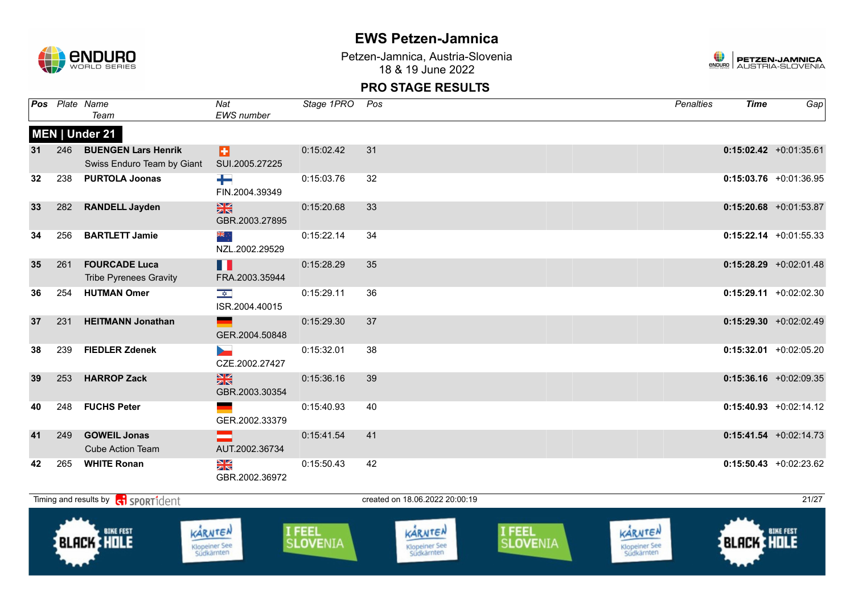

Petzen-Jamnica, Austria-Slovenia 18 & 19 June 2022



|    |     | Pos Plate Name<br>Team                                   | Nat<br><b>EWS</b> number                                 | Stage 1PRO | Pos | <b>Penalties</b> | <b>Time</b> | Gap                       |
|----|-----|----------------------------------------------------------|----------------------------------------------------------|------------|-----|------------------|-------------|---------------------------|
|    |     | MEN   Under 21                                           |                                                          |            |     |                  |             |                           |
| 31 | 246 | <b>BUENGEN Lars Henrik</b><br>Swiss Enduro Team by Giant | ы<br>SUI.2005.27225                                      | 0:15:02.42 | 31  |                  |             | $0:15:02.42$ +0:01:35.61  |
| 32 | 238 | <b>PURTOLA Joonas</b>                                    | ╈<br>FIN.2004.39349                                      | 0:15:03.76 | 32  |                  |             | $0:15:03.76$ +0:01:36.95  |
| 33 | 282 | <b>RANDELL Jayden</b>                                    | $\frac{N}{N}$<br>GBR.2003.27895                          | 0:15:20.68 | 33  |                  |             | $0:15:20.68$ +0:01:53.87  |
| 34 | 256 | <b>BARTLETT Jamie</b>                                    | ▓<br>NZL.2002.29529                                      | 0:15:22.14 | 34  |                  |             | $0:15:22.14$ +0:01:55.33  |
| 35 | 261 | <b>FOURCADE Luca</b><br><b>Tribe Pyrenees Gravity</b>    | Ш<br>FRA.2003.35944                                      | 0:15:28.29 | 35  |                  |             | $0:15:28.29 + 0:02:01.48$ |
| 36 | 254 | <b>HUTMAN Omer</b>                                       | $\frac{1}{2}$<br>ISR.2004.40015                          | 0:15:29.11 | 36  |                  |             | $0:15:29.11 + 0:02:02.30$ |
| 37 | 231 | <b>HEITMANN Jonathan</b>                                 | GER.2004.50848                                           | 0:15:29.30 | 37  |                  |             | $0:15:29.30 + 0:02:02.49$ |
| 38 | 239 | <b>FIEDLER Zdenek</b>                                    | <b>Service</b><br>CZE.2002.27427                         | 0:15:32.01 | 38  |                  |             | $0:15:32.01$ +0:02:05.20  |
| 39 | 253 | <b>HARROP Zack</b>                                       | $\frac{N}{N}$<br>GBR.2003.30354                          | 0:15:36.16 | 39  |                  |             | $0:15:36.16$ +0:02:09.35  |
| 40 | 248 | <b>FUCHS Peter</b>                                       | GER.2002.33379                                           | 0:15:40.93 | 40  |                  |             | $0:15:40.93 + 0:02:14.12$ |
| 41 | 249 | <b>GOWEIL Jonas</b><br><b>Cube Action Team</b>           | AUT.2002.36734                                           | 0:15:41.54 | 41  |                  |             | $0:15:41.54 + 0:02:14.73$ |
| 42 | 265 | <b>WHITE Ronan</b>                                       | $\frac{\Delta \mathbf{K}}{\mathbf{K}}$<br>GBR.2002.36972 | 0:15:50.43 | 42  |                  |             | $0:15:50.43 + 0:02:23.62$ |

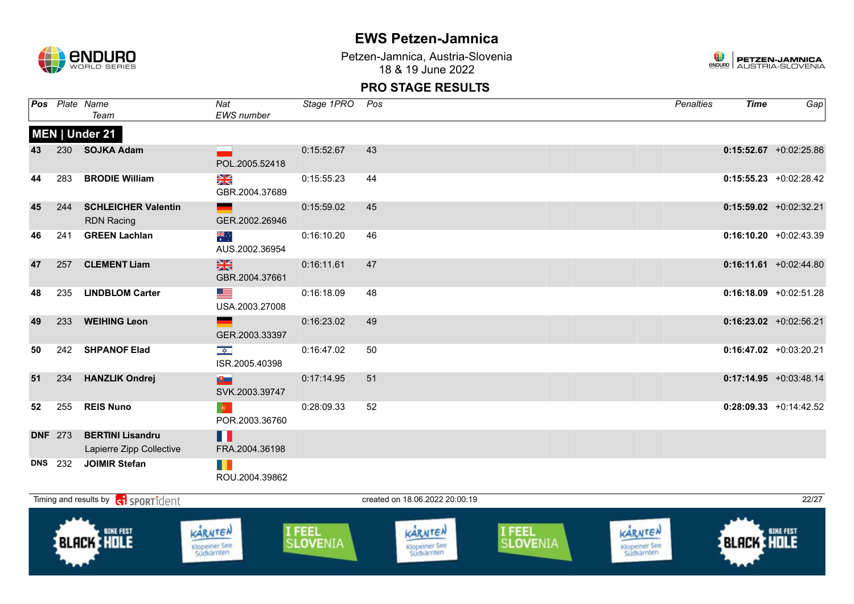

Petzen-Jamnica, Austria-Slovenia 18 & 19 June 2022



|    |                | Pos Plate Name<br>Team                              | Nat<br>EWS number                         | Stage 1PRO Pos     |                                        |                    | <b>Penalties</b>                       | <b>Time</b>       | Gap                      |
|----|----------------|-----------------------------------------------------|-------------------------------------------|--------------------|----------------------------------------|--------------------|----------------------------------------|-------------------|--------------------------|
|    |                | MEN   Under 21                                      |                                           |                    |                                        |                    |                                        |                   |                          |
| 43 |                | 230 SOJKA Adam                                      | POL.2005.52418                            | 0:15:52.67         | 43                                     |                    |                                        |                   | $0:15:52.67$ +0:02:25.86 |
| 44 | 283            | <b>BRODIE William</b>                               | N<br>X<br>GBR.2004.37689                  | 0:15:55.23         | 44                                     |                    |                                        |                   | $0:15:55.23 +0:02:28.42$ |
| 45 | 244            | <b>SCHLEICHER Valentin</b><br><b>RDN Racing</b>     | e de la propie<br>GER.2002.26946          | 0:15:59.02         | 45                                     |                    |                                        |                   | $0:15:59.02$ +0:02:32.21 |
| 46 | 241            | <b>GREEN Lachlan</b>                                | ूँ<br>AUS.2002.36954                      | 0:16:10.20         | 46                                     |                    |                                        |                   | $0:16:10.20 +0:02:43.39$ |
| 47 | 257            | <b>CLEMENT Liam</b>                                 | $\frac{N}{N}$<br>GBR.2004.37661           | 0:16:11.61         | 47                                     |                    |                                        |                   | $0:16:11.61$ +0:02:44.80 |
| 48 | 235            | <b>LINDBLOM Carter</b>                              | <u>est</u><br>USA.2003.27008              | 0:16:18.09         | 48                                     |                    |                                        |                   | $0:16:18.09$ +0:02:51.28 |
| 49 | 233            | <b>WEIHING Leon</b>                                 | GER.2003.33397                            | 0:16:23.02         | 49                                     |                    |                                        |                   | $0:16:23.02$ +0:02:56.21 |
| 50 | 242            | <b>SHPANOF Elad</b>                                 | $\overline{\mathbf{r}}$<br>ISR.2005.40398 | 0:16:47.02         | 50                                     |                    |                                        |                   | $0:16:47.02$ +0:03:20.21 |
| 51 | 234            | <b>HANZLIK Ondrej</b>                               | <b>NUT</b><br>SVK.2003.39747              | 0:17:14.95         | 51                                     |                    |                                        |                   | $0:17:14.95$ +0:03:48.14 |
| 52 | 255            | <b>REIS Nuno</b>                                    | $\bullet$<br>POR.2003.36760               | 0:28:09.33         | 52                                     |                    |                                        |                   | $0:28:09.33$ +0:14:42.52 |
|    | <b>DNF</b> 273 | <b>BERTINI Lisandru</b><br>Lapierre Zipp Collective | Ш<br>FRA.2004.36198                       |                    |                                        |                    |                                        |                   |                          |
|    | <b>DNS</b> 232 | <b>JOIMIR Stefan</b>                                | H.<br>ROU.2004.39862                      |                    |                                        |                    |                                        |                   |                          |
|    |                | Timing and results by ci SPORT1dent                 |                                           |                    | created on 18.06.2022 20:00:19         |                    |                                        |                   | 22/27                    |
|    |                | <b>BIKE FEST</b><br><b>BLACK HOLE</b>               | KARNTEN<br>Klopeiner See<br>Südkärnten    | I FEEL<br>SLOVENIA | KARNTEN<br>Klopeiner See<br>Südkärnten | I FEEL<br>SLOVENIA | KARNTEN<br>Klopeiner See<br>Südkärnten | <b>BLACK HOLE</b> |                          |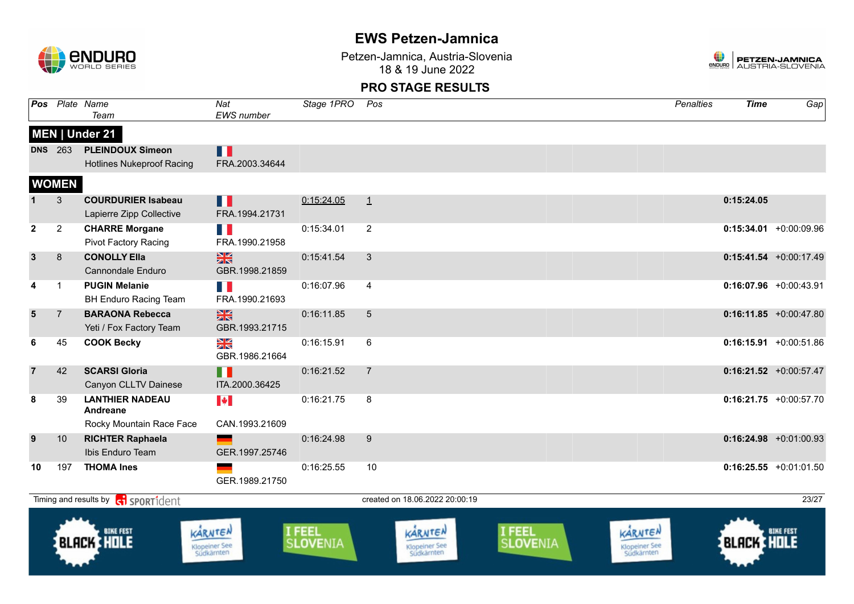

Petzen-Jamnica, Austria-Slovenia 18 & 19 June 2022



| Pos            |                | Plate Name<br>Team                                                      | $\overline{Nat}$<br>EWS number                | Stage 1PRO                | Pos                                           |                    | <b>Penalties</b>                              | <b>Time</b>       | Gap                       |
|----------------|----------------|-------------------------------------------------------------------------|-----------------------------------------------|---------------------------|-----------------------------------------------|--------------------|-----------------------------------------------|-------------------|---------------------------|
|                |                | MEN   Under 21                                                          |                                               |                           |                                               |                    |                                               |                   |                           |
|                | <b>DNS</b> 263 | <b>PLEINDOUX Simeon</b><br><b>Hotlines Nukeproof Racing</b>             | П<br>FRA.2003.34644                           |                           |                                               |                    |                                               |                   |                           |
|                | <b>WOMEN</b>   |                                                                         |                                               |                           |                                               |                    |                                               |                   |                           |
|                | 3              | <b>COURDURIER Isabeau</b><br>Lapierre Zipp Collective                   | N H<br>FRA.1994.21731                         | 0:15:24.05                | $\perp$                                       |                    |                                               | 0:15:24.05        |                           |
| $\mathbf{2}$   | $\overline{c}$ | <b>CHARRE Morgane</b><br><b>Pivot Factory Racing</b>                    | T B<br>FRA.1990.21958                         | 0:15:34.01                | $\overline{2}$                                |                    |                                               |                   | $0:15:34.01$ +0:00:09.96  |
| $\mathbf{3}$   | 8              | <b>CONOLLY Ella</b><br><b>Cannondale Enduro</b>                         | $rac{N}{N}$<br>GBR.1998.21859                 | 0:15:41.54                | $\sqrt{3}$                                    |                    |                                               |                   | $0:15:41.54$ +0:00:17.49  |
| 4              | $\mathbf{1}$   | <b>PUGIN Melanie</b><br><b>BH Enduro Racing Team</b>                    | FRA.1990.21693                                | 0:16:07.96                | $\overline{4}$                                |                    |                                               |                   | $0:16:07.96$ +0:00:43.91  |
| $5\phantom{1}$ | $\overline{7}$ | <b>BARAONA Rebecca</b><br>Yeti / Fox Factory Team                       | $\frac{N}{N}$<br>GBR.1993.21715               | 0:16:11.85                | $\sqrt{5}$                                    |                    |                                               |                   | $0:16:11.85$ +0:00:47.80  |
| 6              | 45             | <b>COOK Becky</b>                                                       | XK<br>GBR.1986.21664                          | 0:16:15.91                | 6                                             |                    |                                               |                   | $0:16:15.91 + 0:00:51.86$ |
| $\overline{7}$ | 42             | <b>SCARSI Gloria</b><br>Canyon CLLTV Dainese                            | H<br>ITA.2000.36425                           | 0:16:21.52                | $\overline{7}$                                |                    |                                               |                   | $0:16:21.52$ +0:00:57.47  |
| 8              | 39             | <b>LANTHIER NADEAU</b><br>Andreane                                      | $\left\  \boldsymbol{\ast} \right\ $          | 0:16:21.75                | 8                                             |                    |                                               |                   | $0:16:21.75 + 0:00:57.70$ |
| 9              | 10             | Rocky Mountain Race Face<br><b>RICHTER Raphaela</b><br>Ibis Enduro Team | CAN.1993.21609<br>GER.1997.25746              | 0:16:24.98                | 9                                             |                    |                                               |                   | $0:16:24.98$ +0:01:00.93  |
| 10             | 197            | <b>THOMA Ines</b>                                                       | GER.1989.21750                                | 0:16:25.55                | 10                                            |                    |                                               |                   | $0:16:25.55$ +0:01:01.50  |
|                |                | Timing and results by <b>ci</b> SPORT1dent                              |                                               |                           | created on 18.06.2022 20:00:19                |                    |                                               |                   | 23/27                     |
|                |                | <b>BIKE FEST</b><br><b>BLACK HOLE</b>                                   | KARNTEN<br><b>Klopeiner See</b><br>Südkärnten | I FEEL<br><b>SLOVENIA</b> | KARNTEN<br><b>Klopeiner See</b><br>Südkärnten | I FEEL<br>SLOVENIA | KARNTEN<br><b>Klopeiner See</b><br>Südkärnten | <b>BLACK HOLE</b> | <b>BIKE FEST</b>          |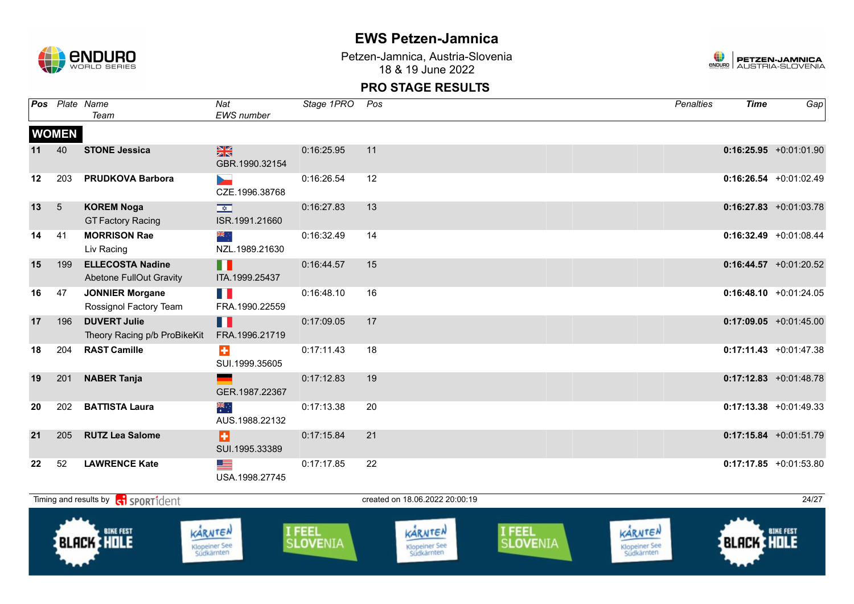

Petzen-Jamnica, Austria-Slovenia 18 & 19 June 2022



|    |                 | <b>Pos</b> Plate Name<br>Team                             | Nat<br><b>EWS</b> number               | Stage 1PRO | Pos                            | Penalties | <b>Time</b> | Gap                       |
|----|-----------------|-----------------------------------------------------------|----------------------------------------|------------|--------------------------------|-----------|-------------|---------------------------|
|    | <b>WOMEN</b>    |                                                           |                                        |            |                                |           |             |                           |
| 11 | 40              | <b>STONE Jessica</b>                                      | $\frac{N}{N}$<br>GBR.1990.32154        | 0:16:25.95 | 11                             |           |             | $0:16:25.95$ +0:01:01.90  |
| 12 | 203             | <b>PRUDKOVA Barbora</b>                                   | <b>Service</b><br>CZE.1996.38768       | 0:16:26.54 | 12                             |           |             | $0:16:26.54 +0:01:02.49$  |
| 13 | $5\overline{)}$ | <b>KOREM Noga</b><br><b>GT Factory Racing</b>             | ISR.1991.21660                         | 0:16:27.83 | 13                             |           |             | $0:16:27.83$ +0:01:03.78  |
| 14 | 41              | <b>MORRISON Rae</b><br>Liv Racing                         | ्रेह<br>NZL.1989.21630                 | 0:16:32.49 | 14                             |           |             | $0:16:32.49$ +0:01:08.44  |
| 15 | 199             | <b>ELLECOSTA Nadine</b><br><b>Abetone FullOut Gravity</b> | П<br>ITA.1999.25437                    | 0:16:44.57 | 15                             |           |             | $0:16:44.57 +0:01:20.52$  |
| 16 | 47              | <b>JONNIER Morgane</b><br>Rossignol Factory Team          | FRA.1990.22559                         | 0:16:48.10 | 16                             |           |             | $0:16:48.10 + 0:01:24.05$ |
| 17 | 196             | <b>DUVERT Julie</b><br>Theory Racing p/b ProBikeKit       | Ш<br>FRA.1996.21719                    | 0:17:09.05 | 17                             |           |             | $0:17:09.05$ +0:01:45.00  |
| 18 | 204             | <b>RAST Camille</b>                                       | $\bullet$<br>SUI.1999.35605            | 0:17:11.43 | 18                             |           |             | $0:17:11.43 + 0:01:47.38$ |
| 19 | 201             | <b>NABER Tanja</b>                                        | GER.1987.22367                         | 0:17:12.83 | 19                             |           |             | $0:17:12.83$ +0:01:48.78  |
| 20 | 202             | <b>BATTISTA Laura</b>                                     | $\frac{1}{\sqrt{K}}$<br>AUS.1988.22132 | 0:17:13.38 | 20                             |           |             | $0:17:13.38$ +0:01:49.33  |
| 21 | 205             | <b>RUTZ Lea Salome</b>                                    | Ы<br>SUI.1995.33389                    | 0:17:15.84 | 21                             |           |             | $0:17:15.84 +0:01:51.79$  |
| 22 | 52              | <b>LAWRENCE Kate</b>                                      | <u>est</u><br>USA.1998.27745           | 0:17:17.85 | 22                             |           |             | $0:17:17.85 + 0:01:53.80$ |
|    |                 | Timing and results by <b>c</b> i <b>SPORT1</b> dent       |                                        |            | created on 18.06.2022 20:00:19 |           |             | 24/27                     |
|    | تتقطب           |                                                           |                                        |            |                                |           |             |                           |

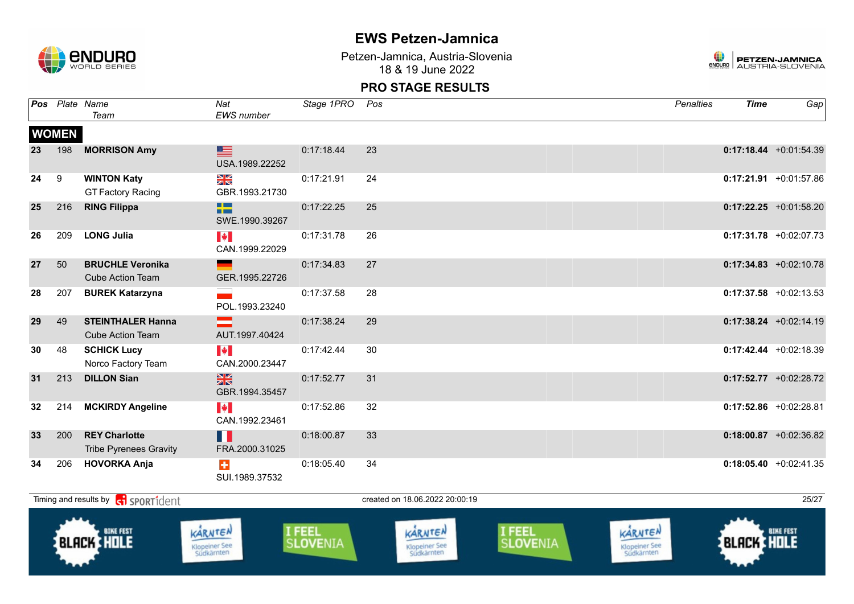

Petzen-Jamnica, Austria-Slovenia 18 & 19 June 2022



|    |              | Pos Plate Name<br>Team                                | Nat<br>EWS number                          | Stage 1PRO | Pos | <b>Penalties</b> | <b>Time</b> | Gap                       |
|----|--------------|-------------------------------------------------------|--------------------------------------------|------------|-----|------------------|-------------|---------------------------|
|    | <b>WOMEN</b> |                                                       |                                            |            |     |                  |             |                           |
| 23 | 198          | <b>MORRISON Amy</b>                                   | ▆<br>USA.1989.22252                        | 0:17:18.44 | 23  |                  |             | $0:17:18.44 + 0:01:54.39$ |
| 24 | 9            | <b>WINTON Katy</b><br><b>GT Factory Racing</b>        | NK<br>ZK<br>GBR.1993.21730                 | 0:17:21.91 | 24  |                  |             | $0:17:21.91$ +0:01:57.86  |
| 25 | 216          | <b>RING Filippa</b>                                   | HZ<br>SWE.1990.39267                       | 0:17:22.25 | 25  |                  |             | $0:17:22.25 +0:01:58.20$  |
| 26 | 209          | <b>LONG Julia</b>                                     | $\blacktriangleright$<br>CAN.1999.22029    | 0:17:31.78 | 26  |                  |             | $0:17:31.78$ +0:02:07.73  |
| 27 | 50           | <b>BRUCHLE Veronika</b><br><b>Cube Action Team</b>    | GER.1995.22726                             | 0:17:34.83 | 27  |                  |             | $0:17:34.83 + 0:02:10.78$ |
| 28 | 207          | <b>BUREK Katarzyna</b>                                | POL.1993.23240                             | 0:17:37.58 | 28  |                  |             | $0:17:37.58$ +0:02:13.53  |
| 29 | 49           | <b>STEINTHALER Hanna</b><br><b>Cube Action Team</b>   | AUT.1997.40424                             | 0:17:38.24 | 29  |                  |             | $0:17:38.24 +0:02:14.19$  |
| 30 | 48           | <b>SCHICK Lucy</b><br>Norco Factory Team              | $\blacktriangleright$<br>CAN.2000.23447    | 0:17:42.44 | 30  |                  |             | $0:17:42.44 +0:02:18.39$  |
| 31 | 213          | <b>DILLON Sian</b>                                    | $\frac{N}{N}$<br>GBR.1994.35457            | 0:17:52.77 | 31  |                  |             | $0:17:52.77$ +0:02:28.72  |
| 32 | 214          | <b>MCKIRDY Angeline</b>                               | $\left\  \cdot \right\ $<br>CAN.1992.23461 | 0:17:52.86 | 32  |                  |             | $0:17:52.86$ +0:02:28.81  |
| 33 | 200          | <b>REY Charlotte</b><br><b>Tribe Pyrenees Gravity</b> | H<br>FRA.2000.31025                        | 0:18:00.87 | 33  |                  |             | $0:18:00.87$ +0:02:36.82  |
| 34 | 206          | <b>HOVORKA Anja</b>                                   | $\color{red}+$<br>SUI.1989.37532           | 0:18:05.40 | 34  |                  |             | $0:18:05.40 + 0:02:41.35$ |

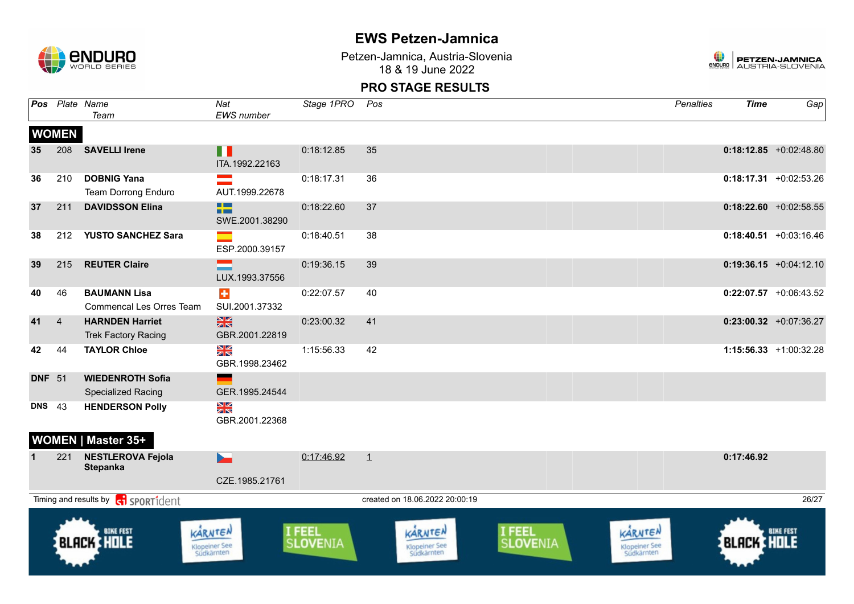

Petzen-Jamnica, Austria-Slovenia 18 & 19 June 2022



|               | Pos Plate Name | Team                                                 | Nat<br>EWS number                                        | Stage 1PRO         | Pos                                    |                    | <b>Penalties</b>                       | <b>Time</b>       | Gap                       |
|---------------|----------------|------------------------------------------------------|----------------------------------------------------------|--------------------|----------------------------------------|--------------------|----------------------------------------|-------------------|---------------------------|
|               | <b>WOMEN</b>   |                                                      |                                                          |                    |                                        |                    |                                        |                   |                           |
| 35            | 208            | <b>SAVELLI Irene</b>                                 | П<br>ITA.1992.22163                                      | 0:18:12.85         | 35                                     |                    |                                        |                   | $0:18:12.85$ +0:02:48.80  |
| 36            | 210            | <b>DOBNIG Yana</b><br><b>Team Dorrong Enduro</b>     | $\equiv$<br>AUT.1999.22678                               | 0:18:17.31         | 36                                     |                    |                                        |                   | $0:18:17.31$ +0:02:53.26  |
| 37            | 211            | <b>DAVIDSSON Elina</b>                               | 23<br>SWE.2001.38290                                     | 0:18:22.60         | 37                                     |                    |                                        |                   | $0:18:22.60$ +0:02:58.55  |
| 38            |                | 212 YUSTO SANCHEZ Sara                               | ESP.2000.39157                                           | 0:18:40.51         | 38                                     |                    |                                        |                   | $0:18:40.51$ +0:03:16.46  |
| 39            | 215            | <b>REUTER Claire</b>                                 | LUX.1993.37556                                           | 0:19:36.15         | 39                                     |                    |                                        |                   | $0:19:36.15 + 0:04:12.10$ |
| 40            | 46             | <b>BAUMANN Lisa</b><br>Commencal Les Orres Team      | $\div$<br>SUI.2001.37332                                 | 0:22:07.57         | 40                                     |                    |                                        |                   | $0:22:07.57$ +0:06:43.52  |
| 41            | $\overline{4}$ | <b>HARNDEN Harriet</b><br><b>Trek Factory Racing</b> | 米<br>GBR.2001.22819                                      | 0:23:00.32         | 41                                     |                    |                                        |                   | $0:23:00.32$ +0:07:36.27  |
| 42            | 44             | <b>TAYLOR Chloe</b>                                  | $\frac{\Delta \mathbf{K}}{\mathbf{K}}$<br>GBR.1998.23462 | 1:15:56.33         | 42                                     |                    |                                        |                   | 1:15:56.33 +1:00:32.28    |
| <b>DNF</b> 51 |                | <b>WIEDENROTH Sofia</b><br><b>Specialized Racing</b> | GER.1995.24544                                           |                    |                                        |                    |                                        |                   |                           |
| <b>DNS</b>    | 43             | <b>HENDERSON Polly</b>                               | N<br>Xk<br>GBR.2001.22368                                |                    |                                        |                    |                                        |                   |                           |
|               |                | <b>WOMEN   Master 35+</b>                            |                                                          |                    |                                        |                    |                                        |                   |                           |
|               | 221            | <b>NESTLEROVA Fejola</b><br><b>Stepanka</b>          | <b>Den</b>                                               | 0:17:46.92         | $\perp$                                |                    |                                        | 0:17:46.92        |                           |
|               |                |                                                      | CZE.1985.21761                                           |                    |                                        |                    |                                        |                   |                           |
|               |                | Timing and results by <b>G</b> SPORT1dent            |                                                          |                    | created on 18.06.2022 20:00:19         |                    |                                        |                   | 26/27                     |
|               |                | <b>BIKE FEST</b><br>BLACK HOLE                       | KARNTEN<br>Klopeiner See<br>Südkärnten                   | I FEEL<br>SLOVENIA | KARNTEN<br>Klopeiner See<br>Südkärnten | I FEEL<br>SLOVENIA | KARNTEN<br>Klopeiner See<br>Südkärnten | <b>BLACK HOLE</b> | <b>BIKE FEST</b>          |